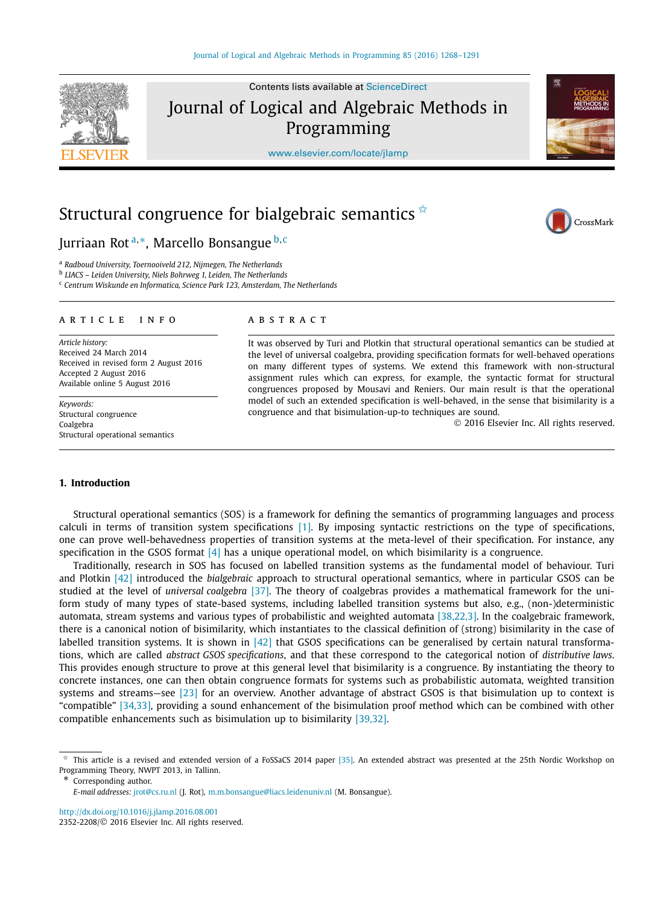

Contents lists available at [ScienceDirect](http://www.ScienceDirect.com/) Journal of Logical and Algebraic Methods in Programming

[www.elsevier.com/locate/jlamp](http://www.elsevier.com/locate/jlamp)

# Structural congruence for bialgebraic semantics  $\hat{X}$

Jurriaan Rot <sup>a</sup>*,*∗, Marcello Bonsangue <sup>b</sup>*,*<sup>c</sup>

<sup>a</sup> *Radboud University, Toernooiveld 212, Nijmegen, The Netherlands*

<sup>b</sup> *LIACS – Leiden University, Niels Bohrweg 1, Leiden, The Netherlands*

<sup>c</sup> *Centrum Wiskunde en Informatica, Science Park 123, Amsterdam, The Netherlands*

#### A R T I C L E I N F O A B S T R A C T

*Article history:* Received 24 March 2014 Received in revised form 2 August 2016 Accepted 2 August 2016 Available online 5 August 2016

*Keywords:* Structural congruence Coalgebra Structural operational semantics

It was observed by Turi and Plotkin that structural operational semantics can be studied at the level of universal coalgebra, providing specification formats for well-behaved operations on many different types of systems. We extend this framework with non-structural assignment rules which can express, for example, the syntactic format for structural congruences proposed by Mousavi and Reniers. Our main result is that the operational model of such an extended specification is well-behaved, in the sense that bisimilarity is a congruence and that bisimulation-up-to techniques are sound.

© 2016 Elsevier Inc. All rights reserved.

# **1. Introduction**

Structural operational semantics (SOS) is a framework for defining the semantics of programming languages and process calculi in terms of transition system specifications [\[1\].](#page-22-0) By imposing syntactic restrictions on the type of specifications, one can prove well-behavedness properties of transition systems at the meta-level of their specification. For instance, any specification in the GSOS format [\[4\]](#page-22-0) has a unique operational model, on which bisimilarity is a congruence.

Traditionally, research in SOS has focused on labelled transition systems as the fundamental model of behaviour. Turi and Plotkin [\[42\]](#page-23-0) introduced the *bialgebraic* approach to structural operational semantics, where in particular GSOS can be studied at the level of *universal coalgebra* [\[37\].](#page-23-0) The theory of coalgebras provides a mathematical framework for the uniform study of many types of state-based systems, including labelled transition systems but also, e.g., (non-)deterministic automata, stream systems and various types of probabilistic and weighted automata [\[38,22,3\].](#page-23-0) In the coalgebraic framework, there is a canonical notion of bisimilarity, which instantiates to the classical definition of (strong) bisimilarity in the case of labelled transition systems. It is shown in  $[42]$  that GSOS specifications can be generalised by certain natural transformations, which are called *abstract GSOS specifications*, and that these correspond to the categorical notion of *distributive laws*. This provides enough structure to prove at this general level that bisimilarity is a congruence. By instantiating the theory to concrete instances, one can then obtain congruence formats for systems such as probabilistic automata, weighted transition systems and streams—see [\[23\]](#page-23-0) for an overview. Another advantage of abstract GSOS is that bisimulation up to context is "compatible" [\[34,33\],](#page-23-0) providing a sound enhancement of the bisimulation proof method which can be combined with other compatible enhancements such as bisimulation up to bisimilarity [\[39,32\].](#page-23-0)

\* Corresponding author.

<http://dx.doi.org/10.1016/j.jlamp.2016.08.001> 2352-2208/© 2016 Elsevier Inc. All rights reserved.



CrossMark

 $*$  This article is a revised and extended version of a FoSSaCS 2014 paper [\[35\].](#page-23-0) An extended abstract was presented at the 25th Nordic Workshop on Programming Theory, NWPT 2013, in Tallinn.

*E-mail addresses:* [jrot@cs.ru.nl](mailto:jrot@cs.ru.nl) (J. Rot), [m.m.bonsangue@liacs.leidenuniv.nl](mailto:m.m.bonsangue@liacs.leidenuniv.nl) (M. Bonsangue).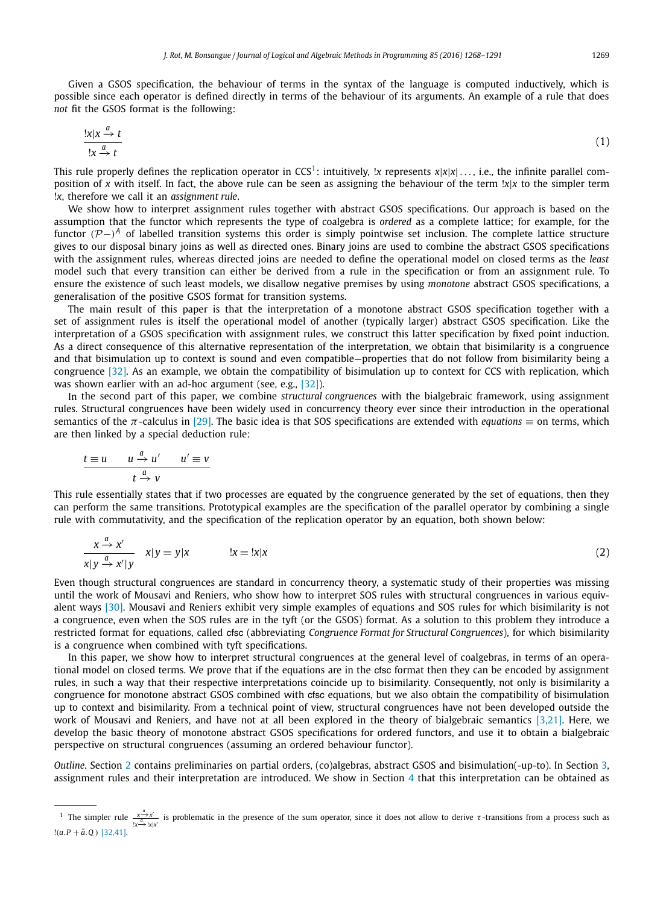<span id="page-1-0"></span>Given a GSOS specification, the behaviour of terms in the syntax of the language is computed inductively, which is possible since each operator is defined directly in terms of the behaviour of its arguments. An example of a rule that does *not* fit the GSOS format is the following:

$$
\frac{!x|x \xrightarrow{a} t}{!x \xrightarrow{a} t} \tag{1}
$$

This rule properly defines the replication operator in CCS<sup>1</sup>: intuitively,  $\vert x \vert$  represents  $x|x|x| \ldots$ , i.e., the infinite parallel composition of *x* with itself. In fact, the above rule can be seen as assigning the behaviour of the term !*x*|*x* to the simpler term !*x*, therefore we call it an *assignment rule*.

We show how to interpret assignment rules together with abstract GSOS specifications. Our approach is based on the assumption that the functor which represents the type of coalgebra is *ordered* as a complete lattice; for example, for the functor *(*P−*)<sup>A</sup>* of labelled transition systems this order is simply pointwise set inclusion. The complete lattice structure gives to our disposal binary joins as well as directed ones. Binary joins are used to combine the abstract GSOS specifications with the assignment rules, whereas directed joins are needed to define the operational model on closed terms as the *least* model such that every transition can either be derived from a rule in the specification or from an assignment rule. To ensure the existence of such least models, we disallow negative premises by using *monotone* abstract GSOS specifications, a generalisation of the positive GSOS format for transition systems.

The main result of this paper is that the interpretation of a monotone abstract GSOS specification together with a set of assignment rules is itself the operational model of another (typically larger) abstract GSOS specification. Like the interpretation of a GSOS specification with assignment rules, we construct this latter specification by fixed point induction. As a direct consequence of this alternative representation of the interpretation, we obtain that bisimilarity is a congruence and that bisimulation up to context is sound and even compatible—properties that do not follow from bisimilarity being a congruence [\[32\].](#page-23-0) As an example, we obtain the compatibility of bisimulation up to context for CCS with replication, which was shown earlier with an ad-hoc argument (see, e.g., [\[32\]\)](#page-23-0).

In the second part of this paper, we combine *structural congruences* with the bialgebraic framework, using assignment rules. Structural congruences have been widely used in concurrency theory ever since their introduction in the operational semantics of the *π*-calculus in [\[29\].](#page-23-0) The basic idea is that SOS specifications are extended with *equations* ≡ on terms, which are then linked by a special deduction rule:

$$
\frac{t \equiv u \qquad u \stackrel{a}{\rightarrow} u' \qquad u' \equiv v}{t \stackrel{a}{\rightarrow} v}
$$

This rule essentially states that if two processes are equated by the congruence generated by the set of equations, then they can perform the same transitions. Prototypical examples are the specification of the parallel operator by combining a single rule with commutativity, and the specification of the replication operator by an equation, both shown below:

$$
\frac{x \xrightarrow{a} x'}{x|y \xrightarrow{a} x'|y} \quad x|y = y|x \qquad \qquad |x = |x|x \tag{2}
$$

Even though structural congruences are standard in concurrency theory, a systematic study of their properties was missing until the work of Mousavi and Reniers, who show how to interpret SOS rules with structural congruences in various equivalent ways [\[30\].](#page-23-0) Mousavi and Reniers exhibit very simple examples of equations and SOS rules for which bisimilarity is not a congruence, even when the SOS rules are in the tyft (or the GSOS) format. As a solution to this problem they introduce a restricted format for equations, called cfsc (abbreviating *Congruence Format for Structural Congruences*), for which bisimilarity is a congruence when combined with tyft specifications.

In this paper, we show how to interpret structural congruences at the general level of coalgebras, in terms of an operational model on closed terms. We prove that if the equations are in the cfsc format then they can be encoded by assignment rules, in such a way that their respective interpretations coincide up to bisimilarity. Consequently, not only is bisimilarity a congruence for monotone abstract GSOS combined with cfsc equations, but we also obtain the compatibility of bisimulation up to context and bisimilarity. From a technical point of view, structural congruences have not been developed outside the work of Mousavi and Reniers, and have not at all been explored in the theory of bialgebraic semantics [\[3,21\].](#page-22-0) Here, we develop the basic theory of monotone abstract GSOS specifications for ordered functors, and use it to obtain a bialgebraic perspective on structural congruences (assuming an ordered behaviour functor).

*Outline*. Section [2](#page-2-0) contains preliminaries on partial orders, (co)algebras, abstract GSOS and bisimulation(-up-to). In Section [3,](#page-6-0) assignment rules and their interpretation are introduced. We show in Section [4](#page-10-0) that this interpretation can be obtained as

<sup>&</sup>lt;sup>1</sup> The simpler rule  $\frac{x^a - x'}{x^a - x}$  is problematic in the presence of the sum operator, since it does not allow to derive *τ* -transitions from a process such as  $!(a.P + \bar{a}.0)$  [\[32,41\].](#page-23-0)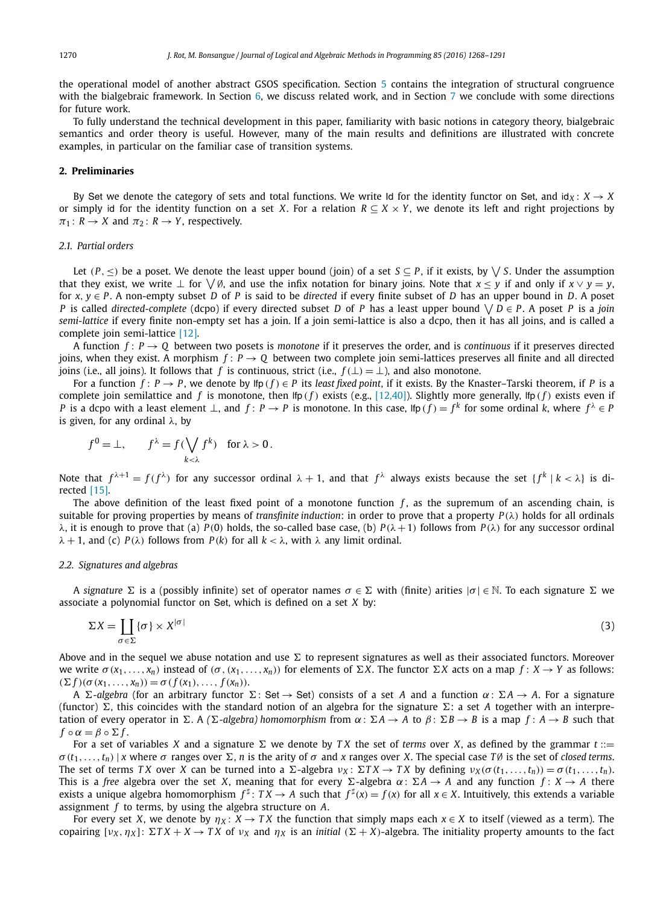<span id="page-2-0"></span>the operational model of another abstract GSOS specification. Section [5](#page-17-0) contains the integration of structural congruence with the bialgebraic framework. In Section [6,](#page-21-0) we discuss related work, and in Section [7](#page-22-0) we conclude with some directions for future work.

To fully understand the technical development in this paper, familiarity with basic notions in category theory, bialgebraic semantics and order theory is useful. However, many of the main results and definitions are illustrated with concrete examples, in particular on the familiar case of transition systems.

#### **2. Preliminaries**

By Set we denote the category of sets and total functions. We write Id for the identity functor on Set, and  $\text{idx}: X \to X$ or simply id for the identity function on a set *X*. For a relation *R* ⊆ *X* × *Y* , we denote its left and right projections by  $\pi_1: R \to X$  and  $\pi_2: R \to Y$ , respectively.

#### *2.1. Partial orders*

Let  $(P, \leq)$  be a poset. We denote the least upper bound (join) of a set  $S \subseteq P$ , if it exists, by  $\setminus S$ . Under the assumption that they exist, we write  $\perp$  for  $\bigvee \emptyset$ , and use the infix notation for binary joins. Note that  $x \leq y$  if and only if  $x \vee y = y$ , for  $x, y \in P$ . A non-empty subset *D* of *P* is said to be *directed* if every finite subset of *D* has an upper bound in *D*. A poset *P* is called *directed-complete* (dcpo) if every directed subset *D* of *P* has a least upper bound  $\bigvee D \in P$ . A poset *P* is a *join semi-lattice* if every finite non-empty set has a join. If a join semi-lattice is also a dcpo, then it has all joins, and is called a complete join semi-lattice [\[12\].](#page-22-0)

A function  $f: P \rightarrow Q$  between two posets is *monotone* if it preserves the order, and is *continuous* if it preserves directed joins, when they exist. A morphism  $f: P \rightarrow Q$  between two complete join semi-lattices preserves all finite and all directed joins (i.e., all joins). It follows that *f* is continuous, strict (i.e.,  $f(\perp) = \perp$ ), and also monotone.

For a function  $f: P \to P$ , we denote by Ifp  $(f) \in P$  its *least fixed point*, if it exists. By the Knaster–Tarski theorem, if P is a complete join semilattice and *f* is monotone, then lfp  $(f)$  exists (e.g., [\[12,40\]\)](#page-22-0). Slightly more generally, lfp  $(f)$  exists even if *P* is a dcpo with a least element  $\perp$ , and  $f: P \to P$  is monotone. In this case, lfp  $(f) = f^k$  for some ordinal *k*, where  $f^{\lambda} \in P$ is given, for any ordinal *λ*, by

$$
f^0 = \bot, \qquad f^{\lambda} = f(\bigvee_{k < \lambda} f^k) \quad \text{for } \lambda > 0.
$$

Note that  $f^{\lambda+1} = f(f^{\lambda})$  for any successor ordinal  $\lambda + 1$ , and that  $f^{\lambda}$  always exists because the set  $\{f^k \mid k < \lambda\}$  is directed [\[15\].](#page-23-0)

The above definition of the least fixed point of a monotone function  $f$ , as the supremum of an ascending chain, is suitable for proving properties by means of *transfinite induction*: in order to prove that a property *P(λ)* holds for all ordinals *λ*, it is enough to prove that (a) *P*(0) holds, the so-called base case, (b) *P*( $λ$ +1) follows from *P*( $λ$ ) for any successor ordinal *λ* + 1, and (c) *P*(*λ*) follows from *P*(*k*) for all  $k < \lambda$ , with  $\lambda$  any limit ordinal.

#### *2.2. Signatures and algebras*

A *signature*  $\Sigma$  is a (possibly infinite) set of operator names  $\sigma \in \Sigma$  with (finite) arities  $|\sigma| \in \mathbb{N}$ . To each signature  $\Sigma$  we associate a polynomial functor on Set, which is defined on a set *X* by:

$$
\Sigma X = \coprod_{\sigma \in \Sigma} {\{\sigma\} \times X^{|\sigma|}} \tag{3}
$$

Above and in the sequel we abuse notation and use  $\Sigma$  to represent signatures as well as their associated functors. Moreover we write *σ*(*x*<sub>1</sub>,...,*x<sub>n</sub>*) instead of (*σ*,(*x*<sub>1</sub>,...,*x<sub>n</sub>*)) for elements of Σ*X*. The functor Σ*X* acts on a map *f* : *X* → *Y* as follows:  $(\sum f)(\sigma(x_1, \ldots, x_n)) = \sigma(f(x_1), \ldots, f(x_n)).$ 

A Σ-algebra (for an arbitrary functor Σ: Set  $\rightarrow$  Set) consists of a set *A* and a function  $\alpha$ : Σ*A*  $\rightarrow$  *A*. For a signature (functor)  $\Sigma$ , this coincides with the standard notion of an algebra for the signature  $\Sigma$ : a set *A* together with an interpretation of every operator in Σ. A *(Σ-algebra) homomorphism* from *α*: Σ*A* → *A* to *β*: Σ*B* → *B* is a map *f* : *A* → *B* such that  $f \circ \alpha = \beta \circ \Sigma f$ .

For a set of variables *X* and a signature  $\Sigma$  we denote by *TX* the set of *terms* over *X*, as defined by the grammar *t* ::=  $\sigma(t_1,\ldots,t_n)$  | x where  $\sigma$  ranges over  $\Sigma$ , n is the arity of  $\sigma$  and x ranges over X. The special case TØ is the set of closed terms. The set of terms TX over X can be turned into a  $\Sigma$ -algebra  $\nu_X: \Sigma T X \to T X$  by defining  $\nu_X(\sigma(t_1,...,t_n)) = \sigma(t_1,...,t_n)$ . This is a *free* algebra over the set *X*, meaning that for every  $\Sigma$ -algebra  $\alpha$ :  $\Sigma A \rightarrow A$  and any function  $f: X \rightarrow A$  there exists a unique algebra homomorphism  $f^{\sharp}$ :  $TX \to A$  such that  $f^{\sharp}(x) = f(x)$  for all  $x \in X$ . Intuitively, this extends a variable assignment *f* to terms, by using the algebra structure on *A*.

For every set *X*, we denote by  $\eta_X: X \to TX$  the function that simply maps each  $x \in X$  to itself (viewed as a term). The copairing  $[\nu_X, \eta_X]$ :  $\Sigma TX + X \to TX$  of  $\nu_X$  and  $\eta_X$  is an initial  $(\Sigma + X)$ -algebra. The initiality property amounts to the fact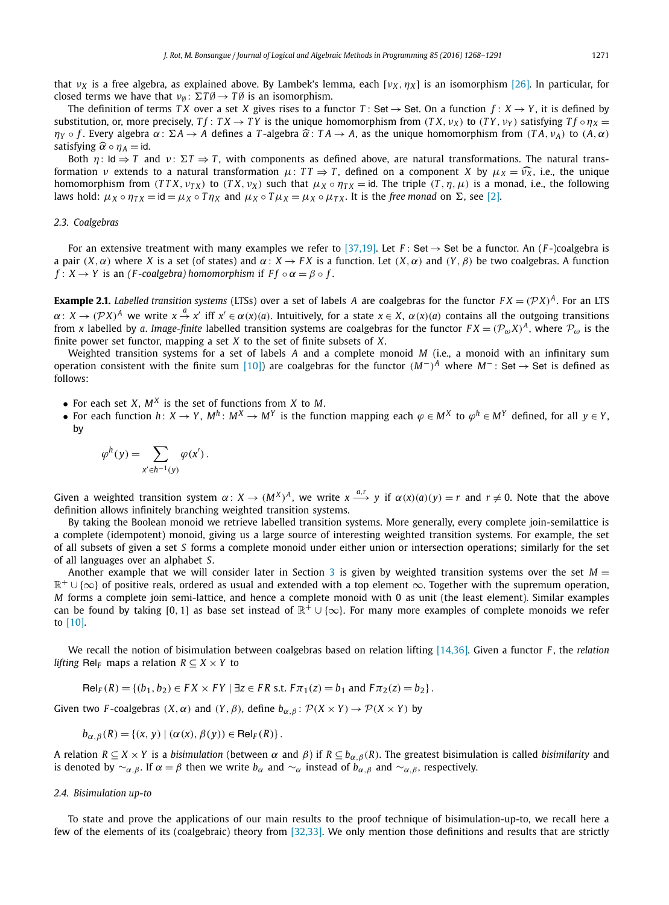<span id="page-3-0"></span>that *νχ* is a free algebra, as explained above. By Lambek's lemma, each [*νχ*, *ηχ*] is an isomorphism [\[26\].](#page-23-0) In particular, for closed terms we have that  $v_{\emptyset}$ :  $\Sigma T \emptyset \rightarrow T \emptyset$  is an isomorphism.

The definition of terms *TX* over a set *X* gives rises to a functor *T* : Set  $\rightarrow$  Set. On a function  $f: X \rightarrow Y$ , it is defined by substitution, or, more precisely,  $Tf: TX \to TY$  is the unique homomorphism from  $(TX, \nu_X)$  to  $(TY, \nu_Y)$  satisfying  $Tf \circ \eta_X =$  $\eta_Y \circ f$ . Every algebra  $\alpha : \Sigma A \to A$  defines a T-algebra  $\hat{\alpha} : TA \to A$ , as the unique homomorphism from  $(TA, \nu_A)$  to  $(A, \alpha)$ satisfying  $\hat{\alpha} \circ \eta_A = id$ .

Both  $\eta$ : Id  $\Rightarrow$  *T* and *ν*:  $\Sigma T \Rightarrow T$ , with components as defined above, are natural transformations. The natural transformation *<sup>ν</sup>* extends to <sup>a</sup> natural transformation *<sup>μ</sup>*: *T T* <sup>⇒</sup> *<sup>T</sup>* , defined on <sup>a</sup> component *<sup>X</sup>* by *<sup>μ</sup><sup>X</sup>* <sup>=</sup> *<sup>ν</sup><sup>X</sup>* , i.e., the unique homomorphism from  $(TTX, \nu_{TX})$  to  $(TX, \nu_X)$  such that  $\mu_X \circ \eta_{TX} = id$ . The triple  $(T, \eta, \mu)$  is a monad, i.e., the following laws hold:  $\mu_X \circ \eta_{TX} = id = \mu_X \circ T \eta_X$  and  $\mu_X \circ T \mu_X = \mu_X \circ \mu_{TX}$ . It is the free monad on  $\Sigma$ , see [\[2\].](#page-22-0)

# *2.3. Coalgebras*

For an extensive treatment with many examples we refer to [\[37,19\].](#page-23-0) Let  $F:$  Set  $\rightarrow$  Set be a functor. An (*F*-)coalgebra is a pair  $(X, \alpha)$  where *X* is a set (of states) and  $\alpha: X \to FX$  is a function. Let  $(X, \alpha)$  and  $(Y, \beta)$  be two coalgebras. A function *f* : *X*  $\rightarrow$  *Y* is an *(F-coalgebra) homomorphism* if *Ff*  $\circ \alpha = \beta \circ f$ .

**Example 2.1.** *Labelled transition systems* (LTSs) over a set of labels *A* are coalgebras for the functor  $FX = (\mathcal{P}X)^A$ . For an LTS  $\alpha: X \to (\mathcal{P}X)^A$  we write  $x \stackrel{a}{\to} x'$  iff  $x' \in \alpha(x)(a)$ . Intuitively, for a state  $x \in X$ ,  $\alpha(x)(a)$  contains all the outgoing transitions from *x* labelled by *a*. *Image-finite* labelled transition systems are coalgebras for the functor  $FX = (\mathcal{P}_{\omega}X)^A$ , where  $\mathcal{P}_{\omega}$  is the finite power set functor, mapping a set *X* to the set of finite subsets of *X*.

Weighted transition systems for a set of labels *A* and a complete monoid *M* (i.e., a monoid with an infinitary sum operation consistent with the finite sum [\[10\]\)](#page-22-0) are coalgebras for the functor *(M*−*)<sup>A</sup>* where *M*<sup>−</sup> : Set → Set is defined as follows:

- For each set *X*,  $M^X$  is the set of functions from *X* to *M*.
- For each function  $h: X \to Y$ ,  $M^h: M^X \to M^Y$  is the function mapping each  $\varphi \in M^X$  to  $\varphi^h \in M^Y$  defined, for all  $v \in Y$ . by

$$
\varphi^h(y)=\sum_{x'\in h^{-1}(y)}\varphi(x')\,.
$$

Given a weighted transition system  $\alpha: X \to (M^X)^A$ , we write  $x \xrightarrow{a,r} y$  if  $\alpha(x)(a)(y) = r$  and  $r \neq 0$ . Note that the above definition allows infinitely branching weighted transition systems.

By taking the Boolean monoid we retrieve labelled transition systems. More generally, every complete join-semilattice is a complete (idempotent) monoid, giving us a large source of interesting weighted transition systems. For example, the set of all subsets of given a set *S* forms a complete monoid under either union or intersection operations; similarly for the set of all languages over an alphabet *S*.

Another example that we will consider later in Section [3](#page-6-0) is given by weighted transition systems over the set  $M =$  $\mathbb{R}^+ \cup \{\infty\}$  of positive reals, ordered as usual and extended with a top element  $\infty$ . Together with the supremum operation, *M* forms a complete join semi-lattice, and hence a complete monoid with 0 as unit (the least element). Similar examples can be found by taking [0, 1] as base set instead of  $\mathbb{R}^+ \cup \{\infty\}$ . For many more examples of complete monoids we refer to [\[10\].](#page-22-0)

We recall the notion of bisimulation between coalgebras based on relation lifting [\[14,36\].](#page-23-0) Given a functor *F* , the *relation lifting* Rel<sub>*F*</sub> maps a relation  $R \subseteq X \times Y$  to

 $Rel_F(R) = \{(b_1, b_2) \in FX \times FY \mid \exists z \in FR \text{ s.t. } F\pi_1(z) = b_1 \text{ and } F\pi_2(z) = b_2\}.$ 

Given two *F*-coalgebras  $(X, \alpha)$  and  $(Y, \beta)$ , define  $b_{\alpha, \beta}$ :  $\mathcal{P}(X \times Y) \rightarrow \mathcal{P}(X \times Y)$  by

$$
b_{\alpha,\beta}(R) = \{(x, y) \mid (\alpha(x), \beta(y)) \in \text{Rel}_F(R)\}.
$$

*A* relation  $R \subseteq X \times Y$  is a *bisimulation* (between  $\alpha$  and  $\beta$ ) if  $R \subseteq b_{\alpha,\beta}(R)$ . The greatest bisimulation is called *bisimilarity* and is denoted by  $\sim_{\alpha,\beta}$ . If  $\alpha = \beta$  then we write  $b_{\alpha}$  and  $\sim_{\alpha}$  instead of  $b_{\alpha,\beta}$  and  $\sim_{\alpha,\beta}$ , respectively.

#### *2.4. Bisimulation up-to*

To state and prove the applications of our main results to the proof technique of bisimulation-up-to, we recall here a few of the elements of its (coalgebraic) theory from [\[32,33\].](#page-23-0) We only mention those definitions and results that are strictly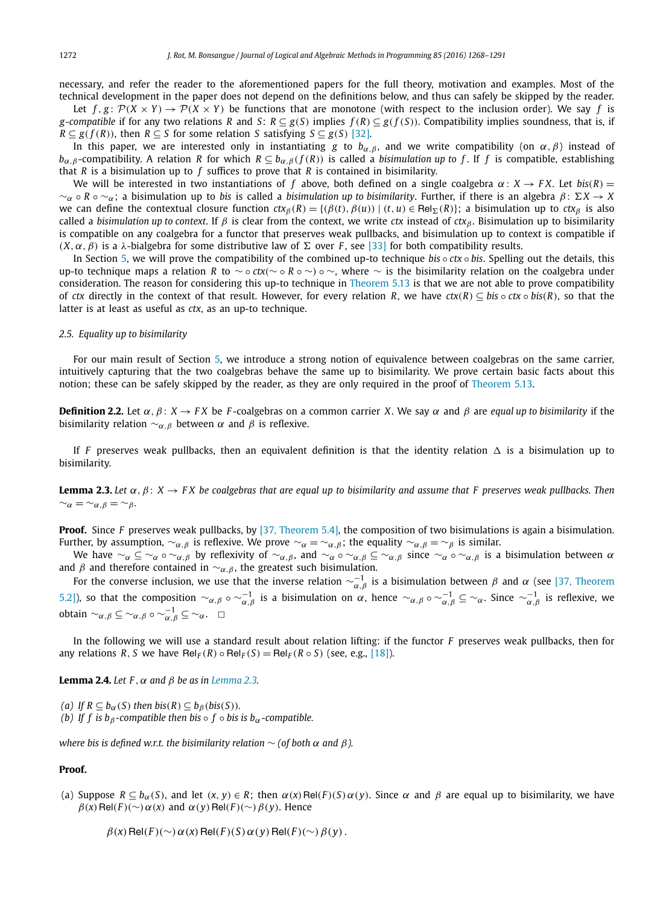<span id="page-4-0"></span>necessary, and refer the reader to the aforementioned papers for the full theory, motivation and examples. Most of the technical development in the paper does not depend on the definitions below, and thus can safely be skipped by the reader.

Let  $f, g: \mathcal{P}(X \times Y) \to \mathcal{P}(X \times Y)$  be functions that are monotone (with respect to the inclusion order). We say *f* is g-compatible if for any two relations R and S:  $R \subseteq g(S)$  implies  $f(R) \subseteq g(f(S))$ . Compatibility implies soundness, that is, if *R* ⊆ *g*(*f*(*R*)), then *R* ⊆ *S* for some relation *S* satisfying *S* ⊆ *g*(*S*) [\[32\].](#page-23-0)

In this paper, we are interested only in instantiating *g* to  $b_{\alpha,\beta}$ , and we write compatibility (on  $\alpha, \beta$ ) instead of  $b_{\alpha,\beta}$ -compatibility. A relation R for which  $R \subseteq b_{\alpha,\beta}(f(R))$  is called a bisimulation up to f. If f is compatible, establishing that *R* is a bisimulation up to *f* suffices to prove that *R* is contained in bisimilarity.

We will be interested in two instantiations of f above, both defined on a single coalgebra  $\alpha: X \to FX$ . Let *bis* $(R)$  = ∼*α* ◦ *R* ◦ ∼*α*; a bisimulation up to *bis* is called a *bisimulation up to bisimilarity*. Further, if there is an algebra *β* : *X* → *X* we can define the contextual closure function  $ctx_6(R) = \{(β(t), β(u)) | (t, u) \in Rel_{\Sigma}(R)\}\)$ ; a bisimulation up to  $ctx_6$  is also called a *bisimulation up to context*. If *β* is clear from the context, we write *ctx* instead of *ctx<sup>β</sup>* . Bisimulation up to bisimilarity is compatible on any coalgebra for a functor that preserves weak pullbacks, and bisimulation up to context is compatible if  $(X, \alpha, \beta)$  is a *λ*-bialgebra for some distributive law of  $\Sigma$  over *F*, see [\[33\]](#page-23-0) for both compatibility results.

In Section [5,](#page-17-0) we will prove the compatibility of the combined up-to technique *bis*  $\circ$  *ctx*  $\circ$  *bis*. Spelling out the details, this up-to technique maps a relation *R* to ∼ ∘ *ctx*(~ ∘ *R* ∘ ∼) ∘ ∼, where ∼ is the bisimilarity relation on the coalgebra under consideration. The reason for considering this up-to technique in [Theorem 5.13](#page-21-0) is that we are not able to prove compatibility of *ctx* directly in the context of that result. However, for every relation *R*, we have  $ctx(R) \subseteq bis \circ ctx \circ bis(R)$ , so that the latter is at least as useful as *ctx*, as an up-to technique.

#### *2.5. Equality up to bisimilarity*

For our main result of Section [5,](#page-17-0) we introduce a strong notion of equivalence between coalgebras on the same carrier, intuitively capturing that the two coalgebras behave the same up to bisimilarity. We prove certain basic facts about this notion; these can be safely skipped by the reader, as they are only required in the proof of [Theorem 5.13.](#page-21-0)

**Definition 2.2.** Let *α*, *β* : *X* → *FX* be *F*-coalgebras on a common carrier *X*. We say *α* and *β* are *equal up to bisimilarity* if the bisimilarity relation ∼*α,β* between *α* and *β* is reflexive.

If *F* preserves weak pullbacks, then an equivalent definition is that the identity relation  $\Delta$  is a bisimulation up to bisimilarity.

**Lemma 2.3.** Let  $\alpha, \beta: X \to FX$  be coalgebras that are equal up to bisimilarity and assume that F preserves weak pullbacks. Then  $\sim_{\alpha} = \sim_{\alpha,\beta} = \sim_{\beta}.$ 

**Proof.** Since *F* preserves weak pullbacks, by [37, [Theorem](#page-23-0) 5.4], the composition of two bisimulations is again a bisimulation. Further, by assumption,  $\sim_{\alpha,\beta}$  is reflexive. We prove  $\sim_{\alpha} = \sim_{\alpha,\beta}$ ; the equality  $\sim_{\alpha,\beta} = \sim_{\beta}$  is similar.

We have  $∼_α ⊆ ∼_α ∘ ∼_α, β$  by reflexivity of  $∼_α, β$ , and  $∼_α ∘_α, β ⊆ ∼_α, β$  since  $∼_α, β$  is a bisimulation between *α* and  $\beta$  and therefore contained in  $\sim_{\alpha,\beta}$ , the greatest such bisimulation.

For the converse inclusion, we use that the inverse relation  $\sim_{\alpha,\beta}^{-1}$  is a bisimulation between  $\beta$  and  $\alpha$  (see [37, [Theorem](#page-23-0) [5.2\]\)](#page-23-0), so that the composition  $\sim_{\alpha,\beta}$  ∘  $\sim_{\alpha,\beta}^{-1}$  is a bisimulation on *α*, hence  $\sim_{\alpha,\beta}$  ∘  $\sim_{\alpha,\beta}^{-1}$  ⊆  $\sim_{\alpha}$ . Since  $\sim_{\alpha,\beta}^{-1}$  is reflexive, we  $\text{obtain } \sim_{\alpha,\beta} \subseteq \sim_{\alpha,\beta} \circ \sim_{\alpha,\beta}^{-1} \subseteq \sim_{\alpha}$ .

In the following we will use a standard result about relation lifting: if the functor *F* preserves weak pullbacks, then for any relations *R*, *S* we have  $\text{Rel}_F(R) \circ \text{Rel}_F(S) = \text{Rel}_F(R \circ S)$  (see, e.g., [\[18\]\)](#page-23-0).

**Lemma 2.4.** *Let F ,α and β be as in Lemma 2.3.*

*(a) If*  $R \subseteq b_{\alpha}(S)$  *then bis* $(R) \subseteq b_{\beta}(bis(S))$ *. (b)* If *f* is  $b_\beta$ -compatible then bis  $\circ$  *f*  $\circ$  *bis* is  $b_\alpha$ -compatible.

*where bis is defined w.r.t. the bisimilarity relation* ∼ *(of both*  $\alpha$  *and*  $\beta$ ).

## **Proof.**

(a) Suppose  $R \subseteq b_{\alpha}(S)$ , and let  $(x, y) \in R$ ; then  $\alpha(x)$  Rel $(F)(S)$   $\alpha(y)$ . Since  $\alpha$  and  $\beta$  are equal up to bisimilarity, we have  $\beta(x)$  Rel $(F)(\sim)$   $\alpha(x)$  and  $\alpha(y)$  Rel $(F)(\sim)$   $\beta(y)$ . Hence

 $\beta(x)$  Rel $(F)(\sim)\alpha(x)$  Rel $(F)(S)\alpha(y)$  Rel $(F)(\sim)\beta(y)$ .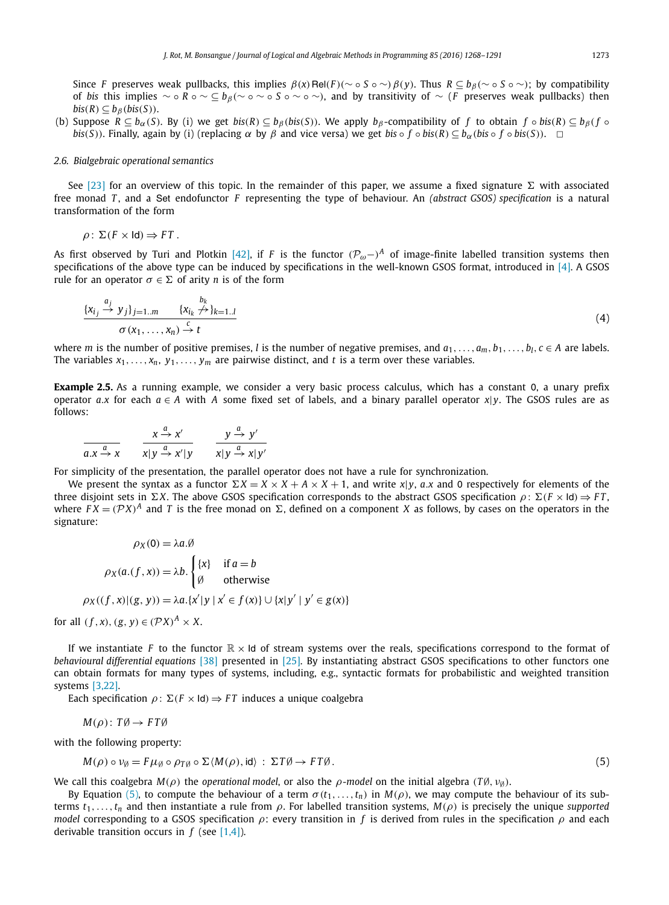<span id="page-5-0"></span>Since F preserves weak pullbacks, this implies  $\beta(x)$  Rel(F)( $\sim \infty$  S  $\circ \sim$ )  $\beta(y)$ . Thus  $R \subseteq b_{\beta}$ ( $\sim \infty$  S  $\circ \sim$ ); by compatibility of *bis* this implies ∼ ◦ *R* ◦∼⊆ *b<sup>β</sup> (*∼◦∼◦ *S* ◦∼◦∼*)*, and by transitivity of ∼ (*F* preserves weak pullbacks) then  $b$ *is* $(R) \subseteq b$ <sup>*β*</sup>  $(b$ *is* $(S)$ *)*.

(b) Suppose  $R \subseteq b_{\alpha}(S)$ . By (i) we get  $bis(R) \subseteq b_{\beta}(bis(S))$ . We apply  $b_{\beta}$ -compatibility of f to obtain  $f \circ bis(R) \subseteq b_{\beta}(f \circ b)$ bis(S)). Finally, again by (i) (replacing  $\alpha$  by  $\beta$  and vice versa) we get bis  $\circ$  f  $\circ$  bis(R)  $\subset$  b<sub> $\alpha$ </sub>(bis  $\circ$  f  $\circ$  bis(S)).  $\Box$ 

#### *2.6. Bialgebraic operational semantics*

See [\[23\]](#page-23-0) for an overview of this topic. In the remainder of this paper, we assume a fixed signature  $\Sigma$  with associated free monad *T* , and a Set endofunctor *F* representing the type of behaviour. An *(abstract GSOS) specification* is a natural transformation of the form

$$
\rho\colon \Sigma(F\times \mathsf{Id})\Rightarrow FT\,.
$$

As first observed by Turi and Plotkin [\[42\],](#page-23-0) if *<sup>F</sup>* is the functor *(*P*ω*−*)<sup>A</sup>* of image-finite labelled transition systems then specifications of the above type can be induced by specifications in the well-known GSOS format, introduced in [\[4\].](#page-22-0) A GSOS rule for an operator  $\sigma \in \Sigma$  of arity *n* is of the form

$$
\frac{\{x_{i_j} \stackrel{a_j}{\to} y_j\}_{j=1..m} \{x_{i_k} \stackrel{b_k}{\to} \}_{k=1..l}}{\sigma(x_1, \ldots, x_n) \stackrel{c}{\to} t}
$$
(4)

where *m* is the number of positive premises, *l* is the number of negative premises, and  $a_1, \ldots, a_m, b_1, \ldots, b_l, c \in A$  are labels. The variables  $x_1, \ldots, x_n, y_1, \ldots, y_m$  are pairwise distinct, and *t* is a term over these variables.

**Example 2.5.** As a running example, we consider a very basic process calculus, which has a constant 0, a unary prefix operator *a.x* for each  $a \in A$  with *A* some fixed set of labels, and a binary parallel operator  $x|y$ . The GSOS rules are as follows:

$$
\frac{x \xrightarrow{a} x'}{a.x \xrightarrow{a} x} \quad \frac{x \xrightarrow{a} x'}{x|y \xrightarrow{a} x'|y} \quad \frac{y \xrightarrow{a} y'}{x|y \xrightarrow{a} x|y'}
$$

For simplicity of the presentation, the parallel operator does not have a rule for synchronization.

We present the syntax as a functor  $\Sigma X = X \times X + A \times X + 1$ , and write  $x|y$ , *a.x* and 0 respectively for elements of the three disjoint sets in  $\Sigma X$ . The above GSOS specification corresponds to the abstract GSOS specification  $\rho: \Sigma (F \times \text{Id}) \Rightarrow FT$ , where  $FX = (\mathcal{P}X)^A$  and T is the free monad on  $\Sigma$ , defined on a component X as follows, by cases on the operators in the signature:

$$
\rho_X(0) = \lambda a.\emptyset
$$
  
\n
$$
\rho_X(a.(f, x)) = \lambda b. \begin{cases} \{x\} & \text{if } a = b \\ \emptyset & \text{otherwise} \end{cases}
$$
  
\n
$$
\rho_X((f, x)|(g, y)) = \lambda a. \{x'|y \mid x' \in f(x)\} \cup \{x|y' \mid y' \in g(x)\}
$$

for all  $(f, x), (g, y) \in (\mathcal{P}X)^A \times X$ .

If we instantiate F to the functor  $\mathbb{R} \times$  Id of stream systems over the reals, specifications correspond to the format of *behavioural differential equations* [\[38\]](#page-23-0) presented in [\[25\].](#page-23-0) By instantiating abstract GSOS specifications to other functors one can obtain formats for many types of systems, including, e.g., syntactic formats for probabilistic and weighted transition systems [\[3,22\].](#page-22-0)

Each specification  $\rho$ :  $\Sigma(F \times \text{Id}) \Rightarrow FT$  induces a unique coalgebra

$$
M(\rho): T\emptyset \to FT\emptyset
$$

with the following property:

$$
M(\rho) \circ \nu_{\emptyset} = F\mu_{\emptyset} \circ \rho_{T\emptyset} \circ \Sigma \langle M(\rho), \text{id} \rangle : \Sigma T\emptyset \to FT\emptyset. \tag{5}
$$

We call this coalgebra  $M(\rho)$  the *operational model*, or also the *ρ*-model on the initial algebra (*T* Ø, *ν*<sub>0</sub>).

By Equation (5), to compute the behaviour of a term  $\sigma(t_1,...,t_n)$  in  $M(\rho)$ , we may compute the behaviour of its subterms *t*1*,...,tn* and then instantiate a rule from *ρ*. For labelled transition systems, *M(ρ)* is precisely the unique *supported model* corresponding to a GSOS specification *ρ*: every transition in *f* is derived from rules in the specification *ρ* and each derivable transition occurs in  $f$  (see [\[1,4\]\)](#page-22-0).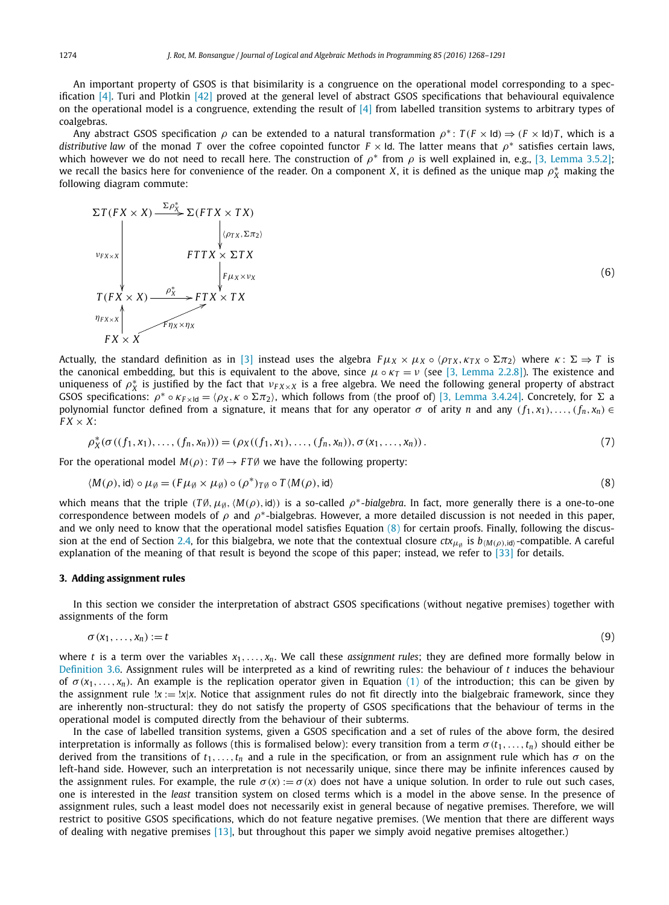<span id="page-6-0"></span>An important property of GSOS is that bisimilarity is a congruence on the operational model corresponding to a specification  $[4]$ . Turi and Plotkin  $[42]$  proved at the general level of abstract GSOS specifications that behavioural equivalence on the operational model is a congruence, extending the result of  $[4]$  from labelled transition systems to arbitrary types of coalgebras.

Any abstract GSOS specification  $\rho$  can be extended to a natural transformation  $\rho^*$ :  $T(F \times \text{Id}) \Rightarrow (F \times \text{Id})T$ , which is a *distributive law* of the monad *T* over the cofree copointed functor *F* × Id. The latter means that *ρ*<sup>∗</sup> satisfies certain laws, which however we do not need to recall here. The construction of  $\rho^*$  from  $\rho$  is well explained in, e.g., [3, [Lemma](#page-22-0) 3.5.2]; we recall the basics here for convenience of the reader. On a component *X*, it is defined as the unique map  $\rho_X^*$  making the following diagram commute:

$$
\Sigma T(FX \times X) \xrightarrow{\Sigma \rho_X^*} \Sigma (FTX \times TX)
$$
\n
$$
FTTX \times \Sigma TX
$$
\n
$$
T(FX \times X) \xrightarrow{\rho_X^*} \Sigma TX \times \Sigma TX
$$
\n
$$
T(FX \times X) \xrightarrow{\rho_X^*} \Sigma TX \times TX
$$
\n
$$
T(KX \times X) \xrightarrow{\rho_X^*} \Sigma TX \times TX
$$
\n
$$
T(X \times X) \xrightarrow{\rho_X^*} \Sigma TX \times TX
$$
\n
$$
(6)
$$

Actually, the standard definition as in [\[3\]](#page-22-0) instead uses the algebra  $F\mu_X \times \mu_X \circ \langle \rho_{TX}, \kappa_{TX} \circ \Sigma \pi_2 \rangle$  where  $\kappa : \Sigma \Rightarrow T$  is the canonical embedding, but this is equivalent to the above, since  $\mu \circ \kappa_T = \nu$  (see [3, [Lemma](#page-22-0) 2.2.8]). The existence and uniqueness of  $\rho_X^*$  is justified by the fact that  $v_{FX\times X}$  is a free algebra. We need the following general property of abstract GSOS specifications:  $ρ^* \circ \kappa_{F \times \text{Id}} = \langle ρ_X, \kappa \circ \Sigma \pi_2 \rangle$ , which follows from (the proof of) [3, [Lemma](#page-22-0) 3.4.24]. Concretely, for  $\Sigma$  a polynomial functor defined from a signature, it means that for any operator  $\sigma$  of arity *n* and any  $(f_1, x_1), \ldots, (f_n, x_n) \in$  $FX \times X$ :

$$
\rho_X^*(\sigma((f_1, x_1), \dots, (f_n, x_n))) = (\rho_X((f_1, x_1), \dots, (f_n, x_n)), \sigma(x_1, \dots, x_n)).
$$
\n(7)

For the operational model  $M(\rho)$ :  $T\emptyset \rightarrow FT\emptyset$  we have the following property:

$$
\langle M(\rho), \mathrm{id} \rangle \circ \mu_{\emptyset} = (F\mu_{\emptyset} \times \mu_{\emptyset}) \circ (\rho^*)_{T\emptyset} \circ T\langle M(\rho), \mathrm{id} \rangle \tag{8}
$$

which means that the triple  $(T\emptyset, \mu_{\emptyset}, \langle M(\rho), id \rangle)$  is a so-called  $\rho^*$ -bialgebra. In fact, more generally there is a one-to-one correspondence between models of *ρ* and *ρ*<sup>∗</sup>-bialgebras. However, a more detailed discussion is not needed in this paper, and we only need to know that the operational model satisfies Equation (8) for certain proofs. Finally, following the discus-sion at the end of Section [2.4,](#page-3-0) for this bialgebra, we note that the contextual closure  $ctx<sub>µ<sub>q</sub></sub>$  is  $b<sub>(M(p),id)</sub>$ -compatible. A careful explanation of the meaning of that result is beyond the scope of this paper; instead, we refer to  $\left[33\right]$  for details.

# **3. Adding assignment rules**

In this section we consider the interpretation of abstract GSOS specifications (without negative premises) together with assignments of the form

$$
\sigma(x_1,\ldots,x_n):=t\tag{9}
$$

where *t* is a term over the variables  $x_1, \ldots, x_n$ . We call these *assignment rules*; they are defined more formally below in [Definition 3.6.](#page-8-0) Assignment rules will be interpreted as a kind of rewriting rules: the behaviour of *t* induces the behaviour of  $σ(x_1,...,x_n)$ . An example is the replication operator given in Equation [\(1\)](#page-1-0) of the introduction; this can be given by the assignment rule  $x := \frac{x}{x}$ . Notice that assignment rules do not fit directly into the bialgebraic framework, since they are inherently non-structural: they do not satisfy the property of GSOS specifications that the behaviour of terms in the operational model is computed directly from the behaviour of their subterms.

In the case of labelled transition systems, given a GSOS specification and a set of rules of the above form, the desired interpretation is informally as follows (this is formalised below): every transition from a term  $\sigma(t_1,\ldots,t_n)$  should either be derived from the transitions of *t*1*,...,tn* and a rule in the specification, or from an assignment rule which has *σ* on the left-hand side. However, such an interpretation is not necessarily unique, since there may be infinite inferences caused by the assignment rules. For example, the rule  $σ(x) := σ(x)$  does not have a unique solution. In order to rule out such cases, one is interested in the *least* transition system on closed terms which is a model in the above sense. In the presence of assignment rules, such a least model does not necessarily exist in general because of negative premises. Therefore, we will restrict to positive GSOS specifications, which do not feature negative premises. (We mention that there are different ways of dealing with negative premises [\[13\],](#page-23-0) but throughout this paper we simply avoid negative premises altogether.)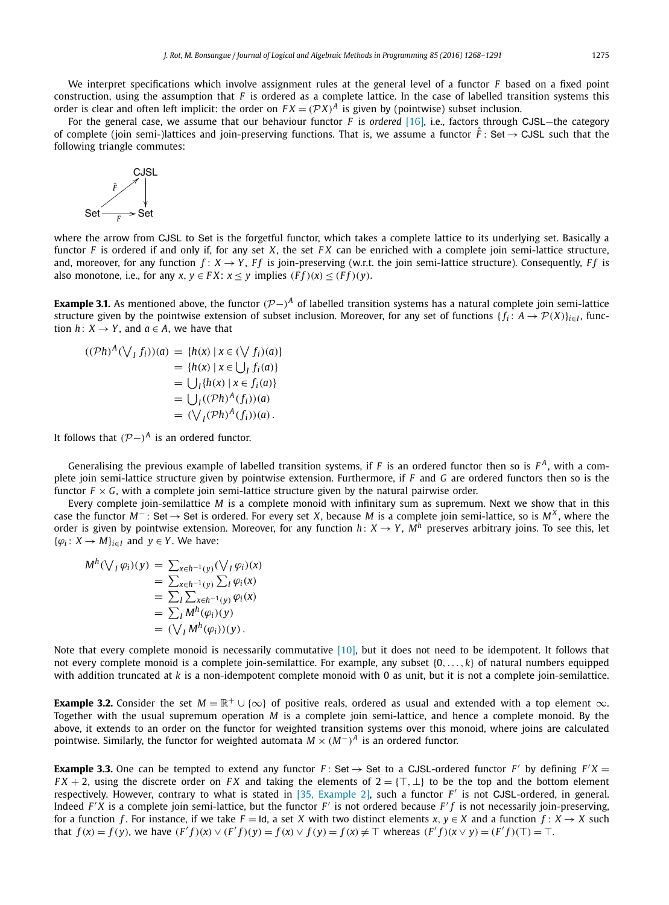We interpret specifications which involve assignment rules at the general level of a functor *F* based on a fixed point construction, using the assumption that *F* is ordered as a complete lattice. In the case of labelled transition systems this order is clear and often left implicit: the order on  $FX = (\mathcal{P}X)^A$  is given by (pointwise) subset inclusion.

For the general case, we assume that our behaviour functor *F* is *ordered* [\[16\],](#page-23-0) i.e., factors through CJSL—the category of complete (join semi-)lattices and join-preserving functions. That is, we assume a functor  $\hat{F}$ : Set  $\rightarrow$  CJSL such that the following triangle commutes:



where the arrow from CJSL to Set is the forgetful functor, which takes a complete lattice to its underlying set. Basically a functor *F* is ordered if and only if, for any set *X*, the set *F X* can be enriched with a complete join semi-lattice structure, and, moreover, for any function  $f: X \to Y$ ,  $Ff$  is join-preserving (w.r.t. the join semi-lattice structure). Consequently,  $Ff$  is also monotone, i.e., for any  $x, y \in FX$ :  $x \leq y$  implies  $(Ff)(x) \leq (Ff)(y)$ .

**Example 3.1.** As mentioned above, the functor  $(D-)^A$  of labelled transition systems has a natural complete join semi-lattice structure given by the pointwise extension of subset inclusion. Moreover, for any set of functions  $\{f_i: A \to \mathcal{P}(X)\}_{i \in I}$ , function  $h: X \rightarrow Y$ , and  $a \in A$ , we have that

$$
((\mathcal{P}h)^{A}(\bigvee_{I} f_{i}))(a) = \{h(x) \mid x \in (\bigvee f_{i})(a)\}
$$
  
=  $\{h(x) \mid x \in \bigcup_{I} f_{i}(a)\}$   
=  $\bigcup_{I} \{h(x) \mid x \in f_{i}(a)\}$   
=  $\bigcup_{I} ((\mathcal{P}h)^{A}(f_{i}))(a)$   
=  $(\bigvee_{I} (\mathcal{P}h)^{A}(f_{i}))(a)$ .

It follows that  $(P-)^A$  is an ordered functor.

Generalising the previous example of labelled transition systems, if  $F$  is an ordered functor then so is  $F^A$ , with a complete join semi-lattice structure given by pointwise extension. Furthermore, if *F* and *G* are ordered functors then so is the functor  $F \times G$ , with a complete join semi-lattice structure given by the natural pairwise order.

Every complete join-semilattice *M* is a complete monoid with infinitary sum as supremum. Next we show that in this case the functor  $M^-$ : Set → Set is ordered. For every set *X*, because *M* is a complete join semi-lattice, so is  $M^X$ , where the order is given by pointwise extension. Moreover, for any function  $h: X \to Y$ ,  $M^h$  preserves arbitrary joins. To see this, let  $\{\varphi_i : X \to M\}_{i \in I}$  and  $y \in Y$ . We have:

$$
M^{h}(\bigvee_{I}\varphi_{i})(y) = \sum_{x \in h^{-1}(y)} (\bigvee_{I}\varphi_{i})(x)
$$
  
= 
$$
\sum_{x \in h^{-1}(y)} \sum_{I}\varphi_{i}(x)
$$
  
= 
$$
\sum_{I} \sum_{x \in h^{-1}(y)} \varphi_{i}(x)
$$
  
= 
$$
\sum_{I} M^{h}(\varphi_{i})(y)
$$
  
= 
$$
(\bigvee_{I} M^{h}(\varphi_{i}))(y).
$$

Note that every complete monoid is necessarily commutative [\[10\],](#page-22-0) but it does not need to be idempotent. It follows that not every complete monoid is a complete join-semilattice. For example, any subset {0*,...,k*} of natural numbers equipped with addition truncated at *k* is a non-idempotent complete monoid with 0 as unit, but it is not a complete join-semilattice.

**Example 3.2.** Consider the set  $M = \mathbb{R}^+ \cup \{\infty\}$  of positive reals, ordered as usual and extended with a top element  $\infty$ . Together with the usual supremum operation *M* is a complete join semi-lattice, and hence a complete monoid. By the above, it extends to an order on the functor for weighted transition systems over this monoid, where joins are calculated pointwise. Similarly, the functor for weighted automata  $M \times (M^-)^A$  is an ordered functor.

**Example 3.3.** One can be tempted to extend any functor  $F:$  Set  $\rightarrow$  Set to a CJSL-ordered functor  $F'$  by defining  $F'X =$ *FX* + 2, using the discrete order on *FX* and taking the elements of  $2 = \{T, \perp\}$  to be the top and the bottom element respectively. However, contrary to what is stated in [35, [Example](#page-23-0) 2], such a functor *F* is not CJSL-ordered, in general. Indeed  $F'X$  is a complete join semi-lattice, but the functor  $F'$  is not ordered because  $F'f$  is not necessarily join-preserving, for a function *f*. For instance, if we take  $F = \text{Id}$ , a set *X* with two distinct elements *x*,  $y \in X$  and a function  $f: X \to X$  such that  $f(x) = f(y)$ , we have  $(F'f)(x) \vee (F'f)(y) = f(x) \vee f(y) = f(x) \neq \top$  whereas  $(F'f)(x \vee y) = (F'f)(\top) = \top$ .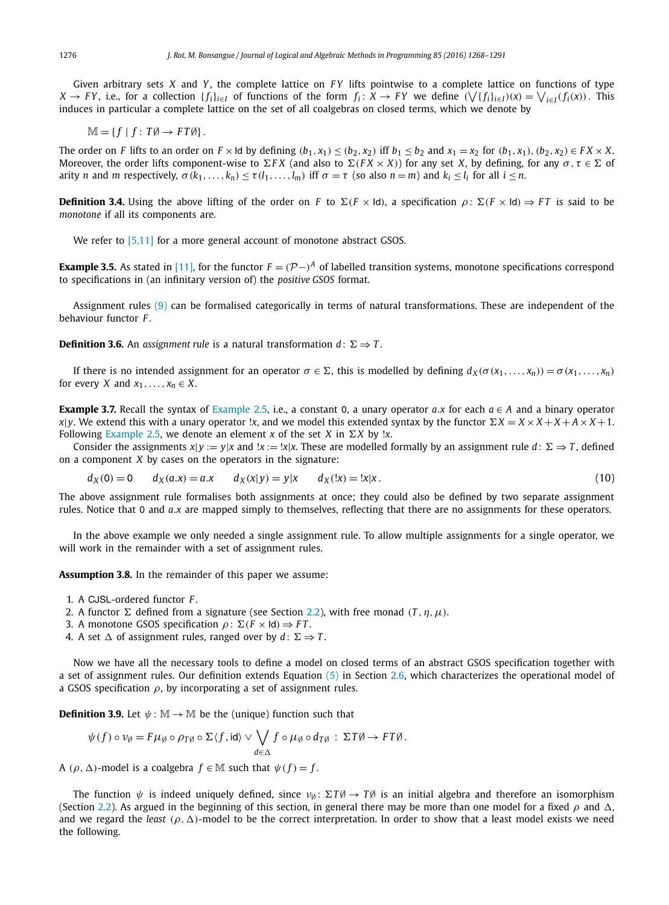Given arbitrary sets *X* and *Y* , the complete lattice on *F Y* lifts pointwise to a complete lattice on functions of type  $X \to FY$ , i.e., for a collection  $\{f_i\}_{i \in I}$  of functions of the form  $f_i: X \to FY$  we define  $(\bigvee \{f_i\}_{i \in I})(x) = \bigvee_{i \in I}(f_i(x))$ . This induces in particular a complete lattice on the set of all coalgebras on closed terms, which we denote by

 $M = \{f | f : T\emptyset \rightarrow FT\emptyset\}.$ 

The order on F lifts to an order on  $F \times$  ld by defining  $(b_1, x_1) \le (b_2, x_2)$  iff  $b_1 \le b_2$  and  $x_1 = x_2$  for  $(b_1, x_1)$ ,  $(b_2, x_2) \in FX \times X$ . Moreover, the order lifts component-wise to  $\Sigma FX$  (and also to  $\Sigma(FX \times X)$ ) for any set *X*, by defining, for any  $\sigma, \tau \in \Sigma$  of arity n and m respectively,  $\sigma(k_1,\ldots,k_n) \leq \tau(l_1,\ldots,l_m)$  iff  $\sigma = \tau$  (so also  $n = m$ ) and  $k_i \leq l_i$  for all  $i \leq n$ .

**Definition 3.4.** Using the above lifting of the order on *F* to  $\Sigma(F \times \text{Id})$ , a specification  $\rho : \Sigma(F \times \text{Id}) \Rightarrow FT$  is said to be *monotone* if all its components are.

We refer to [\[5,11\]](#page-22-0) for a more general account of monotone abstract GSOS.

**Example 3.5.** As stated in [\[11\],](#page-22-0) for the functor  $F = (\mathcal{P} -)^A$  of labelled transition systems, monotone specifications correspond to specifications in (an infinitary version of) the *positive GSOS* format.

Assignment rules [\(9\)](#page-6-0) can be formalised categorically in terms of natural transformations. These are independent of the behaviour functor *F* .

**Definition 3.6.** An *assignment rule* is a natural transformation  $d: \Sigma \Rightarrow T$ .

If there is no intended assignment for an operator  $\sigma \in \Sigma$ , this is modelled by defining  $d_X(\sigma(x_1, \ldots, x_n)) = \sigma(x_1, \ldots, x_n)$ for every *X* and  $x_1, \ldots, x_n \in X$ .

**Example 3.7.** Recall the syntax of [Example 2.5,](#page-5-0) i.e., a constant 0, a unary operator *ax* for each  $a \in A$  and a binary operator *x*|*y*. We extend this with a unary operator !*x*, and we model this extended syntax by the functor  $\Sigma X = X \times X + X + A \times X + 1$ . Following [Example 2.5,](#page-5-0) we denote an element *x* of the set *X* in  $\Sigma X$  by !*x*.

Consider the assignments  $x|y := y|x$  and  $|x := |x|x|$ . These are modelled formally by an assignment rule  $d: \Sigma \to T$ , defined on a component *X* by cases on the operators in the signature:

$$
d_X(0) = 0 \t d_X(a.x) = a.x \t d_X(x|y) = y|x \t d_X(|x) = |x|x. \t(10)
$$

The above assignment rule formalises both assignments at once; they could also be defined by two separate assignment rules. Notice that 0 and *a.x* are mapped simply to themselves, reflecting that there are no assignments for these operators.

In the above example we only needed a single assignment rule. To allow multiple assignments for a single operator, we will work in the remainder with a set of assignment rules.

**Assumption 3.8.** In the remainder of this paper we assume:

- 1. A CJSL-ordered functor *F* .
- 2. A functor  $\Sigma$  defined from a signature (see Section [2.2\)](#page-2-0), with free monad  $(T, \eta, \mu)$ .
- 3. A monotone GSOS specification  $\rho$ :  $\Sigma(F \times \text{Id}) \Rightarrow FT$ .
- 4. A set  $\Delta$  of assignment rules, ranged over by  $d: \Sigma \Rightarrow T$ .

Now we have all the necessary tools to define a model on closed terms of an abstract GSOS specification together with a set of assignment rules. Our definition extends Equation [\(5\)](#page-5-0) in Section [2.6,](#page-5-0) which characterizes the operational model of a GSOS specification *ρ*, by incorporating a set of assignment rules.

**Definition 3.9.** Let  $\psi$ :  $\mathbb{M} \rightarrow \mathbb{M}$  be the (unique) function such that

$$
\psi(f) \circ \nu_{\emptyset} = F \mu_{\emptyset} \circ \rho_{T\emptyset} \circ \Sigma \langle f, \text{id} \rangle \vee \bigvee_{d \in \Delta} f \circ \mu_{\emptyset} \circ d_{T\emptyset} : \Sigma T\emptyset \to FT\emptyset.
$$

A  $(\rho, \Delta)$ -model is a coalgebra  $f \in M$  such that  $\psi(f) = f$ .

The function  $\psi$  is indeed uniquely defined, since  $\nu_{\emptyset}$ :  $\Sigma T \emptyset \to T \emptyset$  is an initial algebra and therefore an isomorphism (Section [2.2\)](#page-2-0). As argued in the beginning of this section, in general there may be more than one model for a fixed  $\rho$  and  $\Delta$ , and we regard the *least*  $(\rho, \Delta)$ -model to be the correct interpretation. In order to show that a least model exists we need the following.

<span id="page-8-0"></span>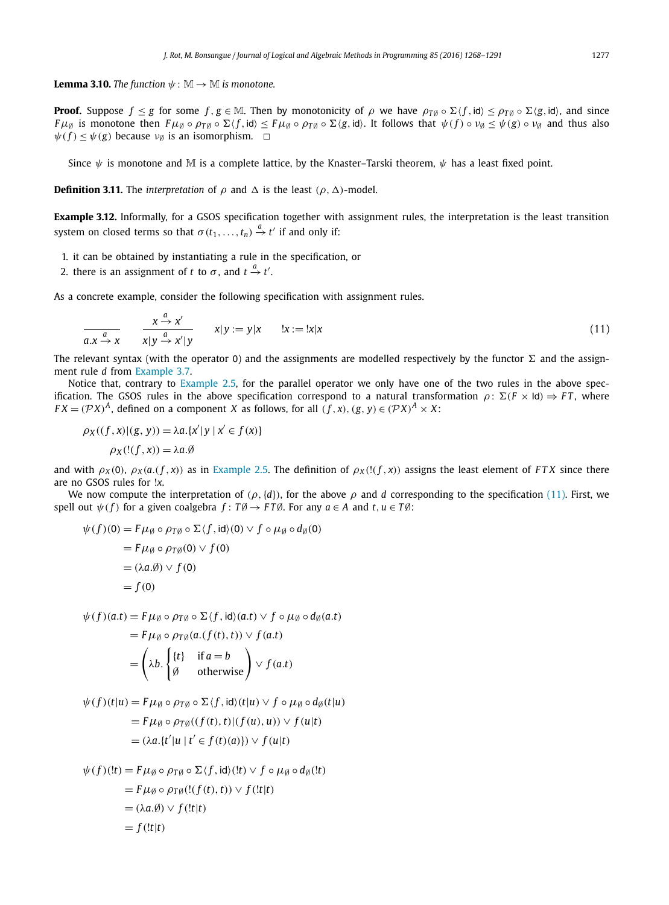<span id="page-9-0"></span>**Lemma 3.10.** *The function*  $\psi : \mathbb{M} \to \mathbb{M}$  *is monotone.* 

**Proof.** Suppose  $f \leq g$  for some  $f, g \in \mathbb{M}$ . Then by monotonicity of  $\rho$  we have  $\rho_{T\emptyset} \circ \Sigma \langle f, id \rangle \leq \rho_{T\emptyset} \circ \Sigma \langle g, id \rangle$ , and since  $F\mu_{\emptyset}$  is monotone then  $F\mu_{\emptyset} \circ \rho_{T\emptyset} \circ \Sigma \langle f, id \rangle \leq F\mu_{\emptyset} \circ \rho_{T\emptyset} \circ \Sigma \langle g, id \rangle$ . It follows that  $\psi(f) \circ \nu_{\emptyset} \leq \psi(g) \circ \nu_{\emptyset}$  and thus also  $\psi(f) \leq \psi(g)$  because  $\nu_{\emptyset}$  is an isomorphism.  $\Box$ 

Since *ψ* is monotone and M is a complete lattice, by the Knaster–Tarski theorem, *ψ* has a least fixed point.

**Definition 3.11.** The *interpretation* of  $\rho$  and  $\Delta$  is the least  $(\rho, \Delta)$ -model.

**Example 3.12.** Informally, for a GSOS specification together with assignment rules, the interpretation is the least transition system on closed terms so that  $\sigma(t_1,\ldots,t_n)\stackrel{a}{\rightarrow}t'$  if and only if:

- 1. it can be obtained by instantiating a rule in the specification, or
- 2. there is an assignment of *t* to  $\sigma$ , and  $t \stackrel{a}{\rightarrow} t'$ .

As a concrete example, consider the following specification with assignment rules.

$$
\frac{x \xrightarrow{a} x'}{a.x \xrightarrow{a} x} \qquad \frac{x \xrightarrow{a} x'}{x|y \xrightarrow{a} x'|y} \qquad x|y := y|x \qquad !x := !x|x \tag{11}
$$

The relevant syntax (with the operator 0) and the assignments are modelled respectively by the functor  $\Sigma$  and the assignment rule *d* from [Example 3.7.](#page-8-0)

Notice that, contrary to [Example 2.5,](#page-5-0) for the parallel operator we only have one of the two rules in the above specification. The GSOS rules in the above specification correspond to a natural transformation *ρ*: Σ(*F* × ld)  $\Rightarrow$  *FT*, where  $FX = (\mathcal{P}X)^A$ , defined on a component X as follows, for all  $(f, x)$ ,  $(g, y) \in (\mathcal{P}X)^A \times X$ ;

$$
\rho_X((f, x)|(g, y)) = \lambda a. \{x'|y \mid x' \in f(x)\}
$$

$$
\rho_X((f, x)) = \lambda a. \emptyset
$$

and with  $\rho_X(0)$ ,  $\rho_X(a.(f, x))$  as in [Example 2.5.](#page-5-0) The definition of  $\rho_X(!(f, x))$  assigns the least element of FTX since there are no GSOS rules for !*x*.

We now compute the interpretation of  $(\rho, \{d\})$ , for the above  $\rho$  and *d* corresponding to the specification (11). First, we spell out  $\psi(f)$  for a given coalgebra  $f: T\emptyset \rightarrow FT\emptyset$ . For any  $a \in A$  and  $t, u \in T\emptyset$ :

$$
\psi(f)(0) = F\mu_{\emptyset} \circ \rho_{T\emptyset} \circ \Sigma \langle f, \text{id} \rangle(0) \vee f \circ \mu_{\emptyset} \circ d_{\emptyset}(0)
$$
  
=  $F\mu_{\emptyset} \circ \rho_{T\emptyset}(0) \vee f(0)$   
=  $(\lambda a.\emptyset) \vee f(0)$   
=  $f(0)$ 

 $\psi(f)(a.t) = F\mu_{\emptyset} \circ \rho_{T\emptyset} \circ \Sigma \langle f, id \rangle (a.t) \vee f \circ \mu_{\emptyset} \circ d_{\emptyset}(a.t)$ 

 $=$   $F \mu_{\emptyset} \circ \rho_{T \emptyset}(a.(f(t), t)) \vee f(a.t)$ 

$$
= \left(\lambda b. \begin{cases} \{t\} & \text{if } a = b \\ \emptyset & \text{otherwise} \end{cases}\right) \vee f(a.t)
$$

 $\psi(f)(t|u) = F\mu_{\emptyset} \circ \rho_{T\emptyset} \circ \Sigma \langle f, id \rangle (t|u) \vee f \circ \mu_{\emptyset} \circ d_{\emptyset} (t|u)$  $=$   $F \mu_{\emptyset} \circ \rho_{T \emptyset}((f(t), t)| (f(u), u)) \vee f(u|t)$  $= (\lambda a.\{t'|u \mid t' \in f(t)(a)\}) \vee f(u|t)$ 

$$
\psi(f)(!t) = F\mu_{\emptyset} \circ \rho_{T\emptyset} \circ \Sigma \langle f, id \rangle (!t) \vee f \circ \mu_{\emptyset} \circ d_{\emptyset}(!t)
$$
  
=  $F\mu_{\emptyset} \circ \rho_{T\emptyset}(!f(t), t) \vee f(!t|t)$   
=  $(\lambda a.\emptyset) \vee f(!t|t)$   
=  $f(!t|t)$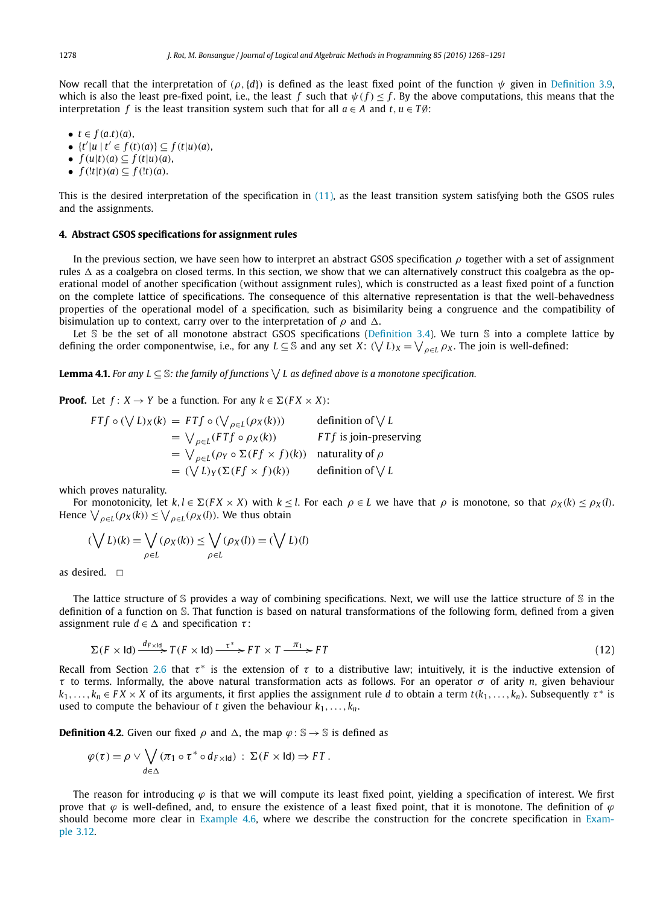<span id="page-10-0"></span>Now recall that the interpretation of  $(ρ, {d})$  is defined as the least fixed point of the function  $ψ$  given in [Definition 3.9,](#page-8-0) which is also the least pre-fixed point, i.e., the least *f* such that  $\psi(f) \leq f$ . By the above computations, this means that the interpretation *f* is the least transition system such that for all  $a \in A$  and  $t, u \in T\emptyset$ :

- $t \in f(a,t)(a)$ ,
- ${t'|u | t' \in f(t)(a)} \subseteq f(t|u)(a)$ ,
- $f(u|t)(a) \subseteq f(t|u)(a)$ ,
- $f(!t|t)(a) \subseteq f(!t)(a)$ .

This is the desired interpretation of the specification in  $(11)$ , as the least transition system satisfying both the GSOS rules and the assignments.

# **4. Abstract GSOS specifications for assignment rules**

In the previous section, we have seen how to interpret an abstract GSOS specification *ρ* together with a set of assignment rules  $\Delta$  as a coalgebra on closed terms. In this section, we show that we can alternatively construct this coalgebra as the operational model of another specification (without assignment rules), which is constructed as a least fixed point of a function on the complete lattice of specifications. The consequence of this alternative representation is that the well-behavedness properties of the operational model of a specification, such as bisimilarity being a congruence and the compatibility of bisimulation up to context, carry over to the interpretation of  $\rho$  and  $\Delta$ .

Let S be the set of all monotone abstract GSOS specifications [\(Definition 3.4\)](#page-8-0). We turn S into a complete lattice by defining the order componentwise, i.e., for any  $L \subseteq \mathbb{S}$  and any set  $X: (\bigvee L)_X = \bigvee_{\rho \in L} \rho_X$ . The join is well-defined:

**Lemma 4.1.** For any  $L ⊆ ⊗$ : the family of functions  $\setminus L$  as defined above is a monotone specification.

**Proof.** Let  $f: X \rightarrow Y$  be a function. For any  $k \in \Sigma (FX \times X)$ :

$$
FTf \circ (\bigvee L)_X(k) = FTf \circ (\bigvee_{\rho \in L} (\rho_X(k))) \qquad \text{definition of } \bigvee L
$$
  
=  $\bigvee_{\rho \in L} (FTf \circ \rho_X(k)) \qquad FTf \text{ is join-preserving}$   
=  $\bigvee_{\rho \in L} (\rho_Y \circ \Sigma (Ff \times f)(k)) \qquad \text{naturality of } \rho$   
=  $(\bigvee L)_Y(\Sigma (Ff \times f)(k)) \qquad \text{definition of } \bigvee L$ 

which proves naturality.

For monotonicity, let  $k, l \in \Sigma(FX \times X)$  with  $k \leq l$ . For each  $\rho \in L$  we have that  $\rho$  is monotone, so that  $\rho_X(k) \leq \rho_X(l)$ . Hence  $\bigvee_{\rho \in L} (\rho_X(k)) \leq \bigvee_{\rho \in L} (\rho_X(l))$ . We thus obtain

$$
(\bigvee L)(k) = \bigvee_{\rho \in L} (\rho_X(k)) \le \bigvee_{\rho \in L} (\rho_X(l)) = (\bigvee L)(l)
$$

as desired.  $\square$ 

The lattice structure of  $\mathbb S$  provides a way of combining specifications. Next, we will use the lattice structure of  $\mathbb S$  in the definition of a function on S. That function is based on natural transformations of the following form, defined from a given assignment rule  $d \in \Delta$  and specification  $\tau$ :

$$
\Sigma(F \times \text{Id}) \xrightarrow{d_{F \times \text{Id}}} T(F \times \text{Id}) \xrightarrow{\tau^*} FT \times T \xrightarrow{\pi_1} FT
$$
\n(12)

Recall from Section [2.6](#page-5-0) that  $\tau^*$  is the extension of  $\tau$  to a distributive law; intuitively, it is the inductive extension of *τ* to terms. Informally, the above natural transformation acts as follows. For an operator *σ* of arity *n*, given behaviour  $k_1, \ldots, k_n \in FX \times X$  of its arguments, it first applies the assignment rule *d* to obtain a term  $t(k_1, \ldots, k_n)$ . Subsequently  $\tau^*$  is used to compute the behaviour of *t* given the behaviour  $k_1, \ldots, k_n$ .

**Definition 4.2.** Given our fixed  $\rho$  and  $\Delta$ , the map  $\varphi$ :  $\mathbb{S} \rightarrow \mathbb{S}$  is defined as

$$
\varphi(\tau) = \rho \vee \bigvee_{d \in \Delta} (\pi_1 \circ \tau^* \circ d_{F \times \mathsf{Id}}) : \Sigma(F \times \mathsf{Id}) \Rightarrow FT.
$$

The reason for introducing *ϕ* is that we will compute its least fixed point, yielding a specification of interest. We first prove that *ϕ* is well-defined, and, to ensure the existence of a least fixed point, that it is monotone. The definition of *ϕ* should become more clear in [Example 4.6,](#page-11-0) where we describe the construction for the concrete specification in [Exam](#page-9-0)[ple 3.12.](#page-9-0)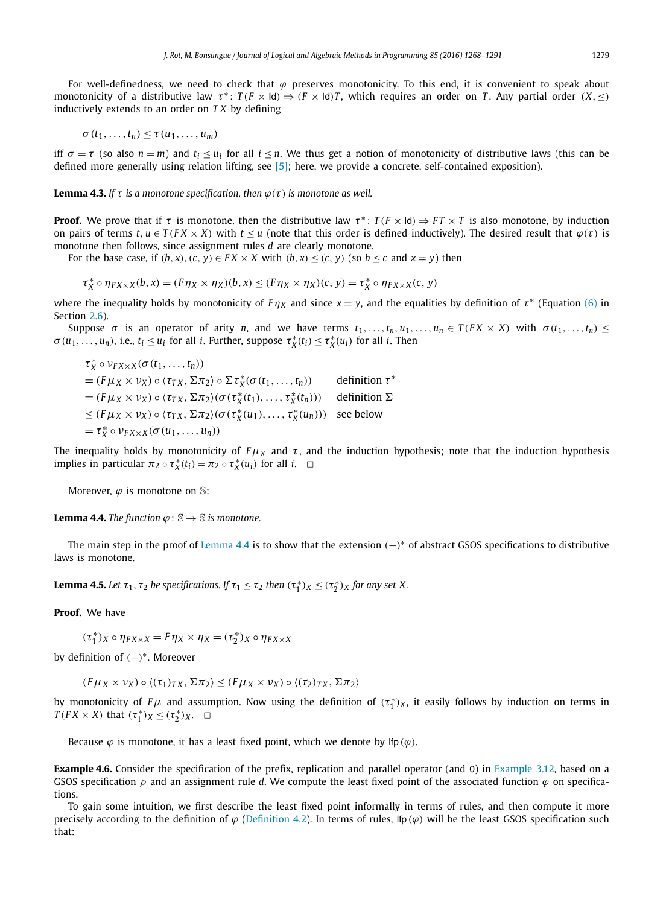<span id="page-11-0"></span> $\sigma(t_1,...,t_n) \leq \tau(u_1,...,u_m)$ 

iff  $\sigma = \tau$  (so also  $n = m$ ) and  $t_i < u_i$  for all  $i < n$ . We thus get a notion of monotonicity of distributive laws (this can be defined more generally using relation lifting, see [\[5\];](#page-22-0) here, we provide a concrete, self-contained exposition).

**Lemma 4.3.** If  $\tau$  is a monotone specification, then  $\varphi(\tau)$  is monotone as well.

**Proof.** We prove that if  $\tau$  is monotone, then the distributive law  $\tau^*$ :  $T(F \times \text{Id}) \Rightarrow FT \times T$  is also monotone, by induction on pairs of terms *t*,  $u \in T(FX \times X)$  with  $t \le u$  (note that this order is defined inductively). The desired result that  $\varphi(\tau)$  is monotone then follows, since assignment rules *d* are clearly monotone.

For the base case, if  $(b, x)$ ,  $(c, y) \in FX \times X$  with  $(b, x) \leq (c, y)$  (so  $b \leq c$  and  $x = y$ ) then

 $\tau_X^* \circ \eta_{FX \times X}(b, x) = (F \eta_X \times \eta_X)(b, x) \le (F \eta_X \times \eta_X)(c, y) = \tau_X^* \circ \eta_{FX \times X}(c, y)$ 

where the inequality holds by monotonicity of *F* $\eta$ *x* and since *x* = *y*, and the equalities by definition of  $\tau^*$  (Equation [\(6\)](#page-6-0) in Section [2.6\)](#page-5-0).

Suppose  $\sigma$  is an operator of arity n, and we have terms  $t_1, \ldots, t_n, u_1, \ldots, u_n \in T(FX \times X)$  with  $\sigma(t_1, \ldots, t_n) \leq$  $\sigma(u_1,\ldots,u_n)$ , i.e.,  $t_i \leq u_i$  for all *i*. Further, suppose  $\tau_X^*(t_i) \leq \tau_X^*(u_i)$  for all *i*. Then

 $\tau_X^* \circ \nu_{FX \times X}(\sigma(t_1, \ldots, t_n))$  $($ *F* $\mu_X \times \nu_X) \circ \langle \tau_{TX}, \Sigma \pi_2 \rangle \circ \Sigma \tau_X^* (\sigma(t_1, \ldots, t_n))$  definition  $\tau^*$  $=(F\mu_X \times \nu_X) \circ \langle \tau_{TX}, \Sigma \pi_2 \rangle (\sigma(\tau_X^*(t_1), \ldots, \tau_X^*)$ *<sup>X</sup> (tn)))* definition  $\leq (F\mu_X \times \nu_X) \circ \langle \tau_{TX}, \Sigma \pi_2 \rangle (\sigma(\tau_X^*(u_1), \ldots, \tau_X^*(u_n)))$  see below  $= \tau_X^* \circ \nu_{FX \times X}(\sigma(u_1, \ldots, u_n))$ 

The inequality holds by monotonicity of  $F\mu_X$  and  $\tau$ , and the induction hypothesis; note that the induction hypothesis implies in particular  $\pi_2 \circ \tau_X^*(t_i) = \pi_2 \circ \tau_X^*(u_i)$  for all *i*.  $□$ 

Moreover, *ϕ* is monotone on S:

**Lemma 4.4.** *The function*  $\varphi$  :  $\mathbb{S} \rightarrow \mathbb{S}$  *is monotone.* 

The main step in the proof of Lemma 4.4 is to show that the extension *(*−*)*<sup>∗</sup> of abstract GSOS specifications to distributive laws is monotone.

**Lemma 4.5.** Let  $\tau_1$ ,  $\tau_2$  be specifications. If  $\tau_1 \le \tau_2$  then  $(\tau_1^*)_X \le (\tau_2^*)_X$  for any set X.

**Proof.** We have

*(* $\tau_1^*$ )*x*  $\circ$  *ηFX* $\times$ *X* = *Fηx*  $\times$  *ηx* =  $(\tau_2^*)$ *x*  $\circ$  *ηFX* $\times$ *x* 

by definition of *(*−*)*∗. Moreover

 $(F\mu_X \times \nu_X) \circ \langle (\tau_1)_{TX}, \Sigma \pi_2 \rangle \leq (F\mu_X \times \nu_X) \circ \langle (\tau_2)_{TX}, \Sigma \pi_2 \rangle$ 

by monotonicity of  $F\mu$  and assumption. Now using the definition of  $(\tau_1^*)_X$ , it easily follows by induction on terms in *T* (*FX* × *X*) that  $(\tau_1^*)_X \leq (\tau_2^*)_X$ .  $\Box$ 

Because  $\varphi$  is monotone, it has a least fixed point, which we denote by lfp  $(\varphi)$ .

**Example 4.6.** Consider the specification of the prefix, replication and parallel operator (and 0) in [Example 3.12,](#page-9-0) based on a GSOS specification  $\rho$  and an assignment rule *d*. We compute the least fixed point of the associated function  $\varphi$  on specifications.

To gain some intuition, we first describe the least fixed point informally in terms of rules, and then compute it more precisely according to the definition of  $\varphi$  [\(Definition 4.2\)](#page-10-0). In terms of rules, lfp  $(\varphi)$  will be the least GSOS specification such that: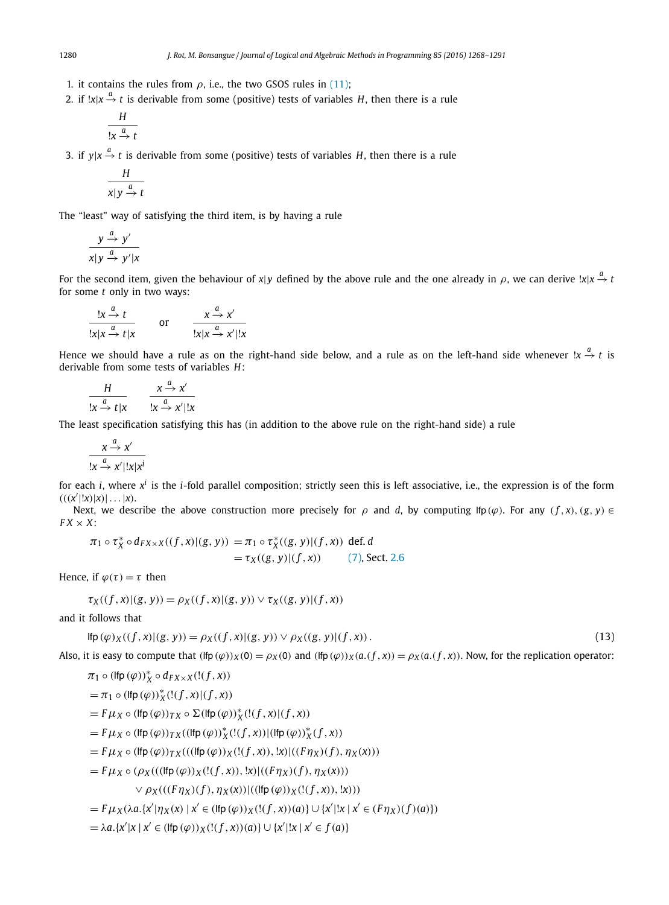- <span id="page-12-0"></span>1. it contains the rules from  $\rho$ , i.e., the two GSOS rules in [\(11\);](#page-9-0)
- 2. if !*x*|*x*  $\stackrel{a}{\rightarrow}$  *t* is derivable from some (positive) tests of variables *H*, then there is a rule

$$
\frac{H}{!x \xrightarrow{a} t}
$$

3. if *y*|*x*  $\stackrel{a}{\rightarrow}$  *t* is derivable from some (positive) tests of variables *H*, then there is a rule

$$
\frac{H}{x|y \xrightarrow{a} t}
$$

The "least" way of satisfying the third item, is by having a rule

$$
\frac{y \xrightarrow{a} y'}{x|y \xrightarrow{a} y'|x}
$$

For the second item, given the behaviour of *x*|*y* defined by the above rule and the one already in  $\rho$ , we can derive !*x*|*x*  $\stackrel{a}{\rightarrow} t$ for some *t* only in two ways:

$$
\frac{!x \xrightarrow{a} t}{!x|x \xrightarrow{a} t|x} \quad \text{or} \quad \frac{x \xrightarrow{a} x'}{!x|x \xrightarrow{a} x'|!x}
$$

Hence we should have a rule as on the right-hand side below, and a rule as on the left-hand side whenever !x → t is derivable from some tests of variables *H*:

$$
\frac{H}{|x|^{\frac{a}{\rightarrow}} t|x} \qquad \frac{x \xrightarrow{a} x'}{|x \xrightarrow{a} x'|!x}
$$

The least specification satisfying this has (in addition to the above rule on the right-hand side) a rule

$$
\frac{x \xrightarrow{a} x'}{\left|x \xrightarrow{a} x'\right| \left|x \right| x^{i}}
$$

for each *i*, where *x<sup>i</sup>* is the *i*-fold parallel composition; strictly seen this is left associative, i.e., the expression is of the form  $((((x'|!x)|x)| \ldots |x)).$ 

Next, we describe the above construction more precisely for  $\rho$  and *d*, by computing lfp  $(\varphi)$ . For any  $(f, x)$ ,  $(g, y) \in$  $FX \times X$ :

$$
\pi_1 \circ \tau_X^* \circ d_{FX \times X}((f, x) | (g, y)) = \pi_1 \circ \tau_X^*((g, y) | (f, x)) \text{ def. } d
$$
  
=  $\tau_X((g, y) | (f, x))$  (7), Sect. 2.6

Hence, if  $\varphi(\tau) = \tau$  then

$$
\tau_X((f,x)|(g,y)) = \rho_X((f,x)|(g,y)) \vee \tau_X((g,y)|(f,x))
$$

and it follows that

$$
\text{If } \mathsf{p}(\varphi)_X((f,x)|(g,y)) = \rho_X((f,x)|(g,y)) \vee \rho_X((g,y)|(f,x)). \tag{13}
$$

Also, it is easy to compute that  $(\text{Ifp }(\varphi))_X(0) = \rho_X(0)$  and  $(\text{Ifp }(\varphi))_X(a.(f, x)) = \rho_X(a.(f, x))$ . Now, for the replication operator:

$$
\pi_1 \circ (\text{Ifp } (\varphi))_X^* \circ d_{FX \times X}(!(f, x))
$$
\n
$$
= \pi_1 \circ (\text{Ifp } (\varphi))_X^* (!(f, x)| (f, x))
$$
\n
$$
= F\mu_X \circ (\text{Ifp } (\varphi))_{TX} \circ \Sigma (\text{Ifp } (\varphi))_X^* (!(f, x)| (f, x))
$$
\n
$$
= F\mu_X \circ (\text{Ifp } (\varphi))_{TX} ((\text{Ifp } (\varphi))_X^* (!(f, x))| (\text{Ifp } (\varphi))_X^* (f, x))
$$
\n
$$
= F\mu_X \circ (\text{Ifp } (\varphi))_{TX} (((\text{Ifp } (\varphi))_X (!(f, x)), !x)| ((F\eta_X)(f), \eta_X(x)))
$$
\n
$$
= F\mu_X \circ (\rho_X (((\text{Ifp } (\varphi))_X (!(f, x)), !x)| ((F\eta_X)(f), \eta_X(x)))
$$
\n
$$
\vee \rho_X (((F\eta_X)(f), \eta_X(x))| ((\text{Ifp } (\varphi))_X (!(f, x)), !x)))
$$
\n
$$
= F\mu_X (\lambda a. \{x' | \eta_X(x) \mid x' \in (\text{Ifp } (\varphi))_X (!(f, x))(a) \} \cup \{x' | !x \mid x' \in f(a) \}
$$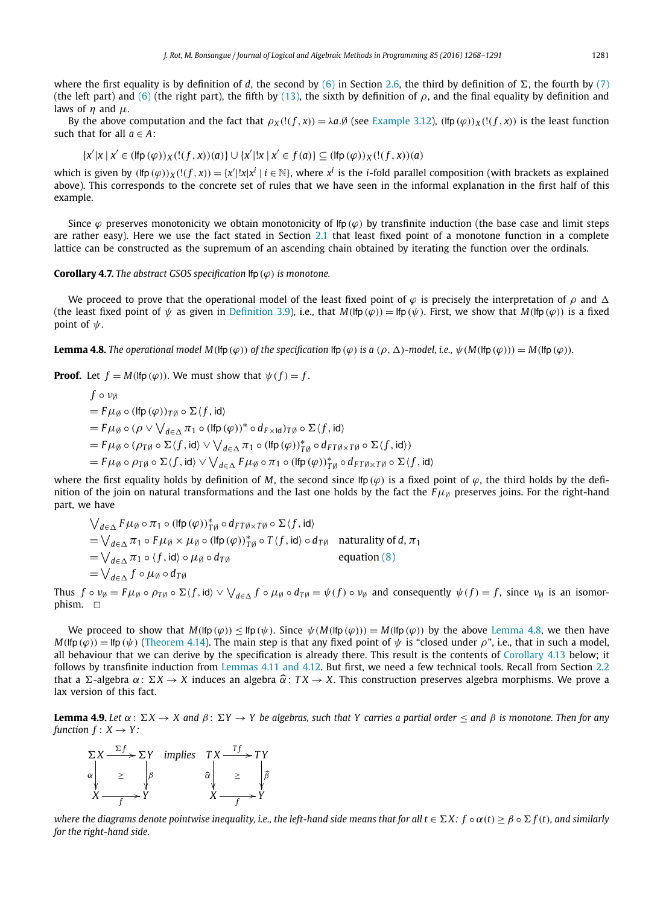<span id="page-13-0"></span>where the first equality is by definition of *d*, the second by [\(6\)](#page-6-0) in Section [2.6,](#page-5-0) the third by definition of  $\Sigma$ , the fourth by [\(7\)](#page-6-0) (the left part) and [\(6\)](#page-6-0) (the right part), the fifth by [\(13\),](#page-12-0) the sixth by definition of *ρ*, and the final equality by definition and laws of *η* and *μ*.

By the above computation and the fact that  $\rho_X(l(f, x)) = \lambda a \cdot \emptyset$  (see [Example 3.12\)](#page-9-0), (lfp  $(\varphi) \times (l(f, x))$ ) is the least function such that for all  $a \in A$ :

$$
\{x'|x \mid x' \in (\text{lfp }(\varphi))_X(!(f,x))(a)\} \cup \{x'|!x \mid x' \in f(a)\} \subseteq (\text{lfp }(\varphi))_X(!(f,x))(a)
$$

which is given by (Ifp( $\varphi$ )) $_X$ (! $(f,x)$ ) = {x'|!x|x $^i$  |  $i\in\mathbb{N}$ }, where  $x^i$  is the  $i$ -fold parallel composition (with brackets as explained above). This corresponds to the concrete set of rules that we have seen in the informal explanation in the first half of this example.

Since  $\varphi$  preserves monotonicity we obtain monotonicity of lfp  $(\varphi)$  by transfinite induction (the base case and limit steps are rather easy). Here we use the fact stated in Section [2.1](#page-2-0) that least fixed point of a monotone function in a complete lattice can be constructed as the supremum of an ascending chain obtained by iterating the function over the ordinals.

# **Corollary 4.7.** *The abstract GSOS specification* lfp  $(\varphi)$  *is monotone.*

We proceed to prove that the operational model of the least fixed point of  $\varphi$  is precisely the interpretation of  $\rho$  and  $\Delta$ (the least fixed point of  $\psi$  as given in [Definition 3.9\)](#page-8-0), i.e., that  $M(\text{lfp }(\varphi)) = \text{lfp }(\psi)$ . First, we show that  $M(\text{lfp }(\varphi))$  is a fixed point of *ψ*.

**Lemma 4.8.** The operational model  $M(\text{lfp }(\varphi))$  of the specification  $\text{lfp }(\varphi)$  is a  $(\rho, \Delta)$ -model, i.e.,  $\psi(M(\text{lfp }(\varphi))) = M(\text{lfp }(\varphi))$ .

**Proof.** Let  $f = M(\text{Ifp }(\varphi))$ . We must show that  $\psi(f) = f$ .

$$
f \circ \nu_{\emptyset}
$$
  
=  $F \mu_{\emptyset} \circ (\text{Ifp } (\varphi))_{T\emptyset} \circ \Sigma \langle f, \text{id} \rangle$   
=  $F \mu_{\emptyset} \circ (\rho \vee \bigvee_{d \in \Delta} \pi_1 \circ (\text{Ifp } (\varphi))^* \circ d_{F \times \text{Id}})_{T\emptyset} \circ \Sigma \langle f, \text{id} \rangle$   
=  $F \mu_{\emptyset} \circ (\rho_{T\emptyset} \circ \Sigma \langle f, \text{id} \rangle \vee \bigvee_{d \in \Delta} \pi_1 \circ (\text{Ifp } (\varphi))^*_{T\emptyset} \circ d_{F T\emptyset \times T\emptyset} \circ \Sigma \langle f, \text{id} \rangle)$   
=  $F \mu_{\emptyset} \circ \rho_{T\emptyset} \circ \Sigma \langle f, \text{id} \rangle \vee \bigvee_{d \in \Delta} F \mu_{\emptyset} \circ \pi_1 \circ (\text{Ifp } (\varphi))^*_{T\emptyset} \circ d_{F T\emptyset \times T\emptyset} \circ \Sigma \langle f, \text{id} \rangle$ 

where the first equality holds by definition of *M*, the second since lfp *(ϕ)* is a fixed point of *ϕ*, the third holds by the definition of the join on natural transformations and the last one holds by the fact the  $F\mu_{\emptyset}$  preserves joins. For the right-hand part, we have

$$
\begin{aligned}\n\bigvee_{d \in \Delta} F \mu_{\emptyset} \circ \pi_1 \circ (\text{Ifp } (\varphi))_{T\emptyset}^* \circ d_{FT\emptyset \times T\emptyset} \circ \Sigma \langle f, \text{id} \rangle \\
&= \bigvee_{d \in \Delta} \pi_1 \circ F \mu_{\emptyset} \times \mu_{\emptyset} \circ (\text{Ifp } (\varphi))_{T\emptyset}^* \circ T \langle f, \text{id} \rangle \circ d_{T\emptyset} \\
&= \bigvee_{d \in \Delta} \pi_1 \circ \langle f, \text{id} \rangle \circ \mu_{\emptyset} \circ d_{T\emptyset} \\
&= \bigvee_{d \in \Delta} f \circ \mu_{\emptyset} \circ d_{T\emptyset}\n\end{aligned}\n\text{equation (8)}
$$

Thus  $f \circ \nu_{\emptyset} = F \mu_{\emptyset} \circ \rho_{T\emptyset} \circ \Sigma \langle f, id \rangle \vee \bigvee_{d \in \Delta} f \circ \mu_{\emptyset} \circ d_{T\emptyset} = \psi(f) \circ \nu_{\emptyset}$  and consequently  $\psi(f) = f$ , since  $\nu_{\emptyset}$  is an isomorphism.  $\square$ 

We proceed to show that  $M(\text{Ifp }(\varphi)) \leq \text{Ifp }(\psi)$ . Since  $\psi(M(\text{Ifp }(\varphi))) = M(\text{Ifp }(\varphi))$  by the above Lemma 4.8, we then have  $M(\text{Ifp }(\varphi)) = \text{Ifp }(\psi)$  [\(Theorem 4.14\)](#page-15-0). The main step is that any fixed point of  $\psi$  is "closed under  $\rho$ ", i.e., that in such a model, all behaviour that we can derive by the specification is already there. This result is the contents of [Corollary 4.13](#page-15-0) below; it follows by transfinite induction from [Lemmas 4.11 and 4.12.](#page-15-0) But first, we need a few technical tools. Recall from Section [2.2](#page-2-0) that a Σ-algebra  $\alpha$ : Σ*X* → *X* induces an algebra  $\hat{\alpha}$ : *TX* → *X*. This construction preserves algebra morphisms. We prove a lax version of this fact.

**Lemma 4.9.** Let  $\alpha: \Sigma X \to X$  and  $\beta: \Sigma Y \to Y$  be algebras, such that Y carries a partial order  $\leq$  and  $\beta$  is monotone. Then for any *function*  $f: X \rightarrow Y$ :



where the diagrams denote pointwise inequality, i.e., the left-hand side means that for all  $t \in \Sigma X$ :  $f \circ \alpha(t) \ge \beta \circ \Sigma f(t)$ , and similarly *for the right-hand side.*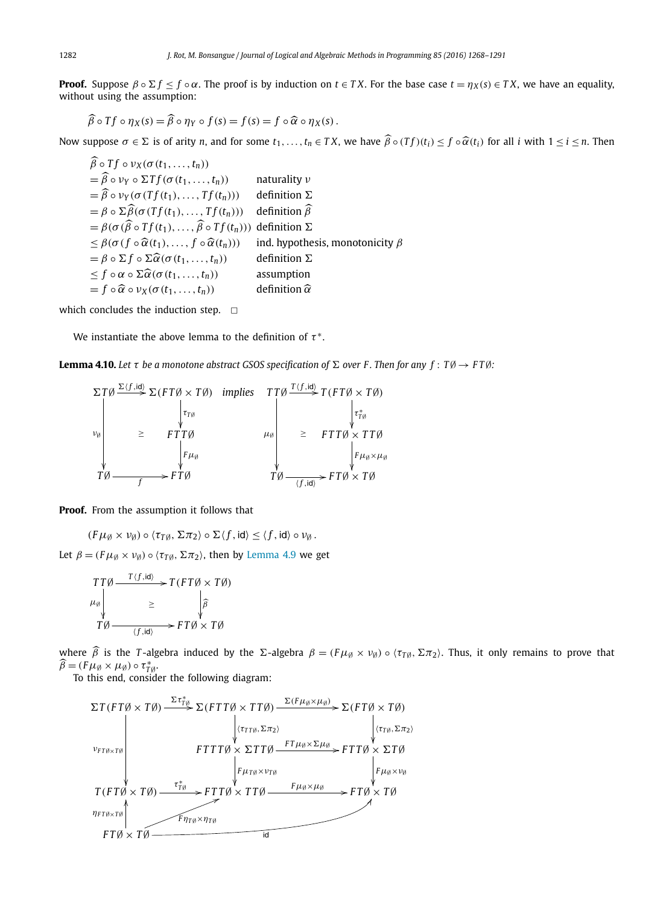<span id="page-14-0"></span>**Proof.** Suppose  $\beta \circ \Sigma f \le f \circ \alpha$ . The proof is by induction on  $t \in TX$ . For the base case  $t = \eta_X(s) \in TX$ , we have an equality, without using the assumption:

$$
\widehat{\beta} \circ Tf \circ \eta_X(s) = \widehat{\beta} \circ \eta_Y \circ f(s) = f(s) = f \circ \widehat{\alpha} \circ \eta_X(s).
$$

Now suppose  $\sigma \in \Sigma$  is of arity n, and for some  $t_1,\ldots,t_n\in TX$ , we have  $\widehat{\beta}\circ(Tf)(t_i)\leq f\circ\widehat{\alpha}(t_i)$  for all  $i$  with  $1\leq i\leq n$ . Then

 $\widehat{\beta} \circ Tf \circ \nu_X(\sigma(t_1,...,t_n))$  $= \widehat{\beta} \circ \nu_Y \circ \Sigma T f(\sigma(t_1, \ldots, t_n))$  naturality *ν*  $= \widehat{\beta} \circ \nu_Y(\sigma(Tf(t_1),...,Tf(t_n)))$  definition  $\Sigma$  $= \beta \circ \Sigma \widehat{\beta}(\sigma(Tf(t_1),...,Tf(t_n)))$ definition  $\widehat{\beta}$  $= β(σ (β ∘ Tf(t<sub>1</sub>),..., β ∘ Tf(t<sub>n</sub>)))$  definition Σ  $\leq \beta(\sigma(f \circ \widehat{\alpha}(t_1),..., f \circ \widehat{\alpha}(t_n)))$  ind. hypothesis, monotonicity  $\beta$ <br>=  $\beta \circ \Sigma f \circ \Sigma \widehat{\alpha}(\sigma(t_1,..., t_n))$  definition  $\Sigma$  $= \beta \circ \Sigma f \circ \Sigma \widehat{\alpha}(\sigma(t_1, ..., t_n))$  definition  $\Sigma$ <br>  $\leq f \circ \alpha \circ \Sigma \widehat{\alpha}(\sigma(t_1, ..., t_n))$  assumption  $\leq f \circ \alpha \circ \Sigma \widehat{\alpha}(\sigma(t_1,...,t_n))$  assumption<br>=  $f \circ \widehat{\alpha} \circ \nu_x(\sigma(t_1,...,t_n))$  definition  $\widehat{\alpha}$  $= f \circ \widehat{\alpha} \circ \nu_X(\sigma(t_1, \ldots, t_n))$ 

which concludes the induction step.  $\Box$ 

We instantiate the above lemma to the definition of  $\tau^*$ .

**Lemma 4.10.** Let  $\tau$  be a monotone abstract GSOS specification of  $\Sigma$  over F. Then for any  $f: T\emptyset \rightarrow FT\emptyset$ :

$$
\Sigma T \emptyset \xrightarrow{\Sigma(f, id)} \Sigma (FT \emptyset \times T \emptyset) \implies T T \emptyset \xrightarrow{\tau_{\emptyset}} T (FT \emptyset \times T \emptyset)
$$
\n
$$
\downarrow_{\nu_{\emptyset}} \xrightarrow{\tau_{\emptyset}} \mu_{\emptyset} \xrightarrow{\tau_{\emptyset}} T (FT \emptyset \times T \emptyset)
$$
\n
$$
\downarrow_{\nu_{\emptyset}} \xrightarrow{\tau_{\emptyset}} \mu_{\emptyset} \xrightarrow{\tau_{\emptyset}} T T \emptyset \times T T \emptyset
$$
\n
$$
\downarrow_{\nu_{\emptyset}} \xrightarrow{\tau_{\emptyset}} T \emptyset \xrightarrow{\tau_{\emptyset} \times \mu_{\emptyset}} T \emptyset \xrightarrow{\tau_{\emptyset} \times \mu_{\emptyset}} T \emptyset \xrightarrow{\tau_{\emptyset} \times T \emptyset}
$$

**Proof.** From the assumption it follows that

 $(F\mu_{\emptyset} \times \nu_{\emptyset}) \circ \langle \tau_{T\emptyset}, \Sigma\pi_2 \rangle \circ \Sigma \langle f, id \rangle \leq \langle f, id \rangle \circ \nu_{\emptyset}$ .

Let  $\beta = (F \mu_{\emptyset} \times \nu_{\emptyset}) \circ \langle \tau_{T\emptyset}, \Sigma \pi_2 \rangle$ , then by [Lemma 4.9](#page-13-0) we get

$$
TT\emptyset \xrightarrow{T(f, id)} T(FT\emptyset \times T\emptyset)
$$
  
\n
$$
\downarrow \varphi
$$
  
\n
$$
T\emptyset \xrightarrow{\qquad \qquad \downarrow} \varphi
$$
  
\n
$$
T\emptyset \xrightarrow{\qquad \qquad \downarrow} \varphi
$$
  
\n
$$
T\emptyset \xrightarrow{\qquad \qquad \downarrow} \varphi
$$
  
\n
$$
T\emptyset \times T\emptyset
$$

where  $\hat{\beta}$  is the *T*-algebra induced by the Σ-algebra  $\beta = (F\mu_{\emptyset} \times \nu_{\emptyset}) \circ \langle \tau_{T\emptyset}, \Sigma \pi_{2} \rangle$ . Thus, it only remains to prove that  $\widehat{\beta} = (F\mu_{\emptyset} \times \mu_{\emptyset}) \circ \tau_{T\emptyset}^*$ .

To this end, consider the following diagram:

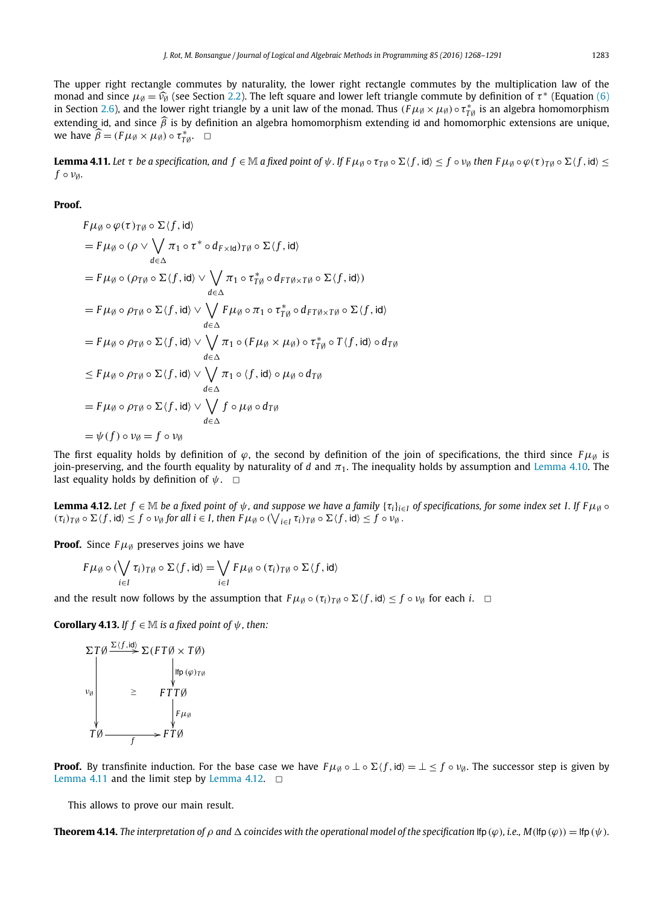<span id="page-15-0"></span>The upper right rectangle commutes by naturality, the lower right rectangle commutes by the multiplication law of the monad and since  $\mu_{\emptyset} = \hat{\nu}_{\emptyset}$  (see Section [2.2\)](#page-2-0). The left square and lower left triangle commute by definition of  $\tau^*$  (Equation [\(6\)](#page-6-0) in Section [2.6\)](#page-5-0), and the lower right triangle by a unit law of the monad. Thus  $(F\mu_{\emptyset}\times\mu_{\emptyset})\circ\tau_{T\emptyset}^*$  is an algebra homomorphism extending id, and since *β* is by definition an algebra homomorphism extending id and homomorphic extensions are unique,  $\mathbf{w}$ e have  $\widehat{\beta} = (F\mu_{\emptyset} \times \mu_{\emptyset}) \circ \tau_{T\emptyset}^*$ . □

**Lemma 4.11.** Let  $\tau$  be a specification, and  $f \in \mathbb{M}$  a fixed point of  $\psi$ . If  $F \mu_{\emptyset} \circ \tau_{T\emptyset} \circ \Sigma \setminus f$ , id)  $\leq f \circ \nu_{\emptyset}$  then  $F \mu_{\emptyset} \circ \varphi(\tau)_{T\emptyset} \circ \Sigma \setminus f$ , id)  $\leq$  $f \circ \nu_{\emptyset}$ .

# **Proof.**

$$
F\mu_{\emptyset} \circ \varphi(\tau)_{T\emptyset} \circ \Sigma \langle f, id \rangle
$$
\n
$$
= F\mu_{\emptyset} \circ (\rho \vee \bigvee_{d \in \Delta} \pi_1 \circ \tau^* \circ d_{F \times id})_{T\emptyset} \circ \Sigma \langle f, id \rangle
$$
\n
$$
= F\mu_{\emptyset} \circ (\rho_{T\emptyset} \circ \Sigma \langle f, id \rangle \vee \bigvee_{d \in \Delta} \pi_1 \circ \tau_{T\emptyset}^* \circ d_{FT\emptyset \times T\emptyset} \circ \Sigma \langle f, id \rangle)
$$
\n
$$
= F\mu_{\emptyset} \circ \rho_{T\emptyset} \circ \Sigma \langle f, id \rangle \vee \bigvee_{d \in \Delta} F\mu_{\emptyset} \circ \pi_1 \circ \tau_{T\emptyset}^* \circ d_{FT\emptyset \times T\emptyset} \circ \Sigma \langle f, id \rangle
$$
\n
$$
= F\mu_{\emptyset} \circ \rho_{T\emptyset} \circ \Sigma \langle f, id \rangle \vee \bigvee_{d \in \Delta} \pi_1 \circ (F\mu_{\emptyset} \times \mu_{\emptyset}) \circ \tau_{T\emptyset}^* \circ T \langle f, id \rangle \circ d_{T\emptyset}
$$
\n
$$
\leq F\mu_{\emptyset} \circ \rho_{T\emptyset} \circ \Sigma \langle f, id \rangle \vee \bigvee_{d \in \Delta} \pi_1 \circ \langle f, id \rangle \circ \mu_{\emptyset} \circ d_{T\emptyset}
$$
\n
$$
= F\mu_{\emptyset} \circ \rho_{T\emptyset} \circ \Sigma \langle f, id \rangle \vee \bigvee_{d \in \Delta} f \circ \mu_{\emptyset} \circ d_{T\emptyset}
$$
\n
$$
= \psi(f) \circ \nu_{\emptyset} = f \circ \nu_{\emptyset}
$$

The first equality holds by definition of  $\varphi$ , the second by definition of the join of specifications, the third since *Fμ*<sub>*0*</sub> is join-preserving, and the fourth equality by naturality of *d* and  $\pi_1$ . The inequality holds by assumption and [Lemma 4.10.](#page-14-0) The last equality holds by definition of  $\psi$ .  $\Box$ 

**Lemma 4.12.** Let  $f \in \mathbb{M}$  be a fixed point of  $\psi$ , and suppose we have a family  $\{\tau_i\}_{i \in I}$  of specifications, for some index set 1. If  $F \mu_{\emptyset}$  o  $(\tau_i)_{T\emptyset} \circ \Sigma \langle f, \mathsf{id} \rangle \leq f \circ \nu_{\emptyset}$  for all  $i \in I$ , then  $F\mu_{\emptyset} \circ (\bigvee_{i \in I} \tau_i)_{T\emptyset} \circ \Sigma \langle f, \mathsf{id} \rangle \leq f \circ \nu_{\emptyset}$ .

**Proof.** Since  $F\mu\emptyset$  preserves joins we have

$$
F\mu_{\emptyset} \circ (\bigvee_{i \in I} \tau_i)_{T\emptyset} \circ \Sigma \langle f, id \rangle = \bigvee_{i \in I} F\mu_{\emptyset} \circ (\tau_i)_{T\emptyset} \circ \Sigma \langle f, id \rangle
$$

and the result now follows by the assumption that  $F\mu_{\emptyset} \circ (\tau_i)_{T\emptyset} \circ \Sigma \langle f, id \rangle \leq f \circ \nu_{\emptyset}$  for each *i*.  $\Box$ 

**Corollary 4.13.** If  $f \in M$  *is a fixed point of*  $\psi$ *, then:* 



**Proof.** By transfinite induction. For the base case we have  $F\mu_{\emptyset} \circ \bot \circ \Sigma \langle f, id \rangle = \bot \leq f \circ \nu_{\emptyset}$ . The successor step is given by Lemma 4.11 and the limit step by Lemma 4.12.  $\Box$ 

This allows to prove our main result.

**Theorem 4.14.** The interpretation of  $\rho$  and  $\Delta$  coincides with the operational model of the specification lfp ( $\varphi$ ), i.e.,  $M(\text{fp }(\varphi)) = \text{lfp }(\psi)$ .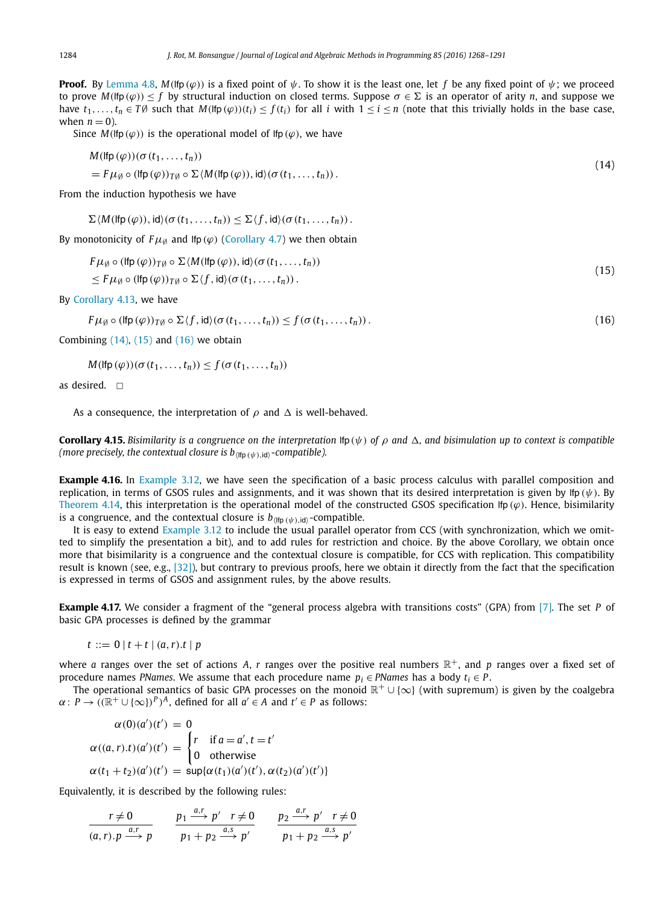<span id="page-16-0"></span>**Proof.** By [Lemma 4.8,](#page-13-0)  $M(\text{Ifp }(\varphi))$  is a fixed point of  $\psi$ . To show it is the least one, let f be any fixed point of  $\psi$ ; we proceed to prove *M*(*lfp*(*ϕ*)) ≤ *f* by structural induction on closed terms. Suppose *σ* ∈ Σ is an operator of arity *n*, and suppose we have  $t_1, \ldots, t_n \in T\emptyset$  such that  $M(\text{Ifp }(\varphi))(t_i) \leq f(t_i)$  for all i with  $1 \leq i \leq n$  (note that this trivially holds in the base case, when  $n = 0$ ).

Since  $M(\text{Ifp }(\varphi))$  is the operational model of  $\text{Ifp }(\varphi)$ , we have

$$
M(\text{Ifp }(\varphi))(\sigma(t_1,\ldots,t_n))
$$
  
=  $F\mu_{\emptyset} \circ (\text{Ifp }(\varphi))_{T\emptyset} \circ \Sigma \langle M(\text{Ifp }(\varphi)),\text{id}\rangle(\sigma(t_1,\ldots,t_n)).$  (14)

From the induction hypothesis we have

 $\sum (M(\text{lfp }(\varphi)), \text{id})(\sigma(t_1, \ldots, t_n)) \leq \sum (f, \text{id})(\sigma(t_1, \ldots, t_n)).$ 

By monotonicity of  $F\mu_{\emptyset}$  and lfp  $(\varphi)$  [\(Corollary 4.7\)](#page-13-0) we then obtain

$$
F\mu_{\emptyset} \circ (\text{Ifp }(\varphi))_{T\emptyset} \circ \Sigma \langle M(\text{Ifp }(\varphi)), \text{id}\rangle (\sigma(t_1, \ldots, t_n))
$$

$$
\leq F\mu_{\emptyset} \circ (\text{Ifp }(\varphi))_{T\emptyset} \circ \Sigma \langle f, \text{id} \rangle (\sigma(t_1, \dots, t_n)).
$$
\n(15)

By [Corollary 4.13,](#page-15-0) we have

$$
F\mu_{\emptyset} \circ (\text{Ifp }(\varphi))_{T\emptyset} \circ \Sigma \langle f, \text{id} \rangle (\sigma(t_1, \dots, t_n)) \le f(\sigma(t_1, \dots, t_n)). \tag{16}
$$

Combining  $(14)$ ,  $(15)$  and  $(16)$  we obtain

$$
M(\mathsf{lfp}\left(\varphi\right))(\sigma(t_1,\ldots,t_n))\leq f(\sigma(t_1,\ldots,t_n))
$$

as desired.  $\Box$ 

As a consequence, the interpretation of  $\rho$  and  $\Delta$  is well-behaved.

**Corollary 4.15.** Bisimilarity is a congruence on the interpretation Ifp( $\psi$ ) of  $\rho$  and  $\Delta$ , and bisimulation up to context is compatible *(more precisely, the contextual closure is*  $b_{\langle \text{lfp } (\psi), \text{id} \rangle}$ *-compatible).* 

**Example 4.16.** In [Example 3.12,](#page-9-0) we have seen the specification of a basic process calculus with parallel composition and replication, in terms of GSOS rules and assignments, and it was shown that its desired interpretation is given by lfp *(ψ)*. By [Theorem 4.14,](#page-15-0) this interpretation is the operational model of the constructed GSOS specification lfp *(ϕ)*. Hence, bisimilarity is a congruence, and the contextual closure is  $b_{\langle \text{lfp}(\psi), \text{id} \rangle}$ -compatible.

It is easy to extend [Example 3.12](#page-9-0) to include the usual parallel operator from CCS (with synchronization, which we omitted to simplify the presentation a bit), and to add rules for restriction and choice. By the above Corollary, we obtain once more that bisimilarity is a congruence and the contextual closure is compatible, for CCS with replication. This compatibility result is known (see, e.g.,  $[32]$ ), but contrary to previous proofs, here we obtain it directly from the fact that the specification is expressed in terms of GSOS and assignment rules, by the above results.

**Example 4.17.** We consider a fragment of the "general process algebra with transitions costs" (GPA) from [\[7\].](#page-22-0) The set *P* of basic GPA processes is defined by the grammar

 $t := 0 | t + t | (a, r) . t | p$ 

where *a* ranges over the set of actions *A*, *r* ranges over the positive real numbers  $\mathbb{R}^+$ , and *p* ranges over a fixed set of procedure names *PNames*. We assume that each procedure name  $p_i \in PM$ ames has a body  $t_i \in P$ .

The operational semantics of basic GPA processes on the monoid  $\mathbb{R}^+ \cup \{\infty\}$  (with supremum) is given by the coalgebra  $\alpha$ :  $P \rightarrow ((\mathbb{R}^+ \cup \{\infty\})^P)^A$ , defined for all  $a' \in A$  and  $t' \in P$  as follows:

$$
\alpha(0)(a')(t') = 0
$$
  
\n
$$
\alpha((a, r).t)(a')(t') = \begin{cases} r & \text{if } a = a', t = t' \\ 0 & \text{otherwise} \end{cases}
$$
  
\n
$$
\alpha(t_1 + t_2)(a')(t') = \sup{\alpha(t_1)(a')(t'), \alpha(t_2)(a')(t')}
$$

Equivalently, it is described by the following rules:

$$
\frac{r \neq 0}{(a,r).p \xrightarrow{a,r} p} \qquad \frac{p_1 \xrightarrow{a,r} p' \quad r \neq 0}{p_1 + p_2 \xrightarrow{a,s} p'} \qquad \frac{p_2 \xrightarrow{a,r} p' \quad r \neq 0}{p_1 + p_2 \xrightarrow{a,s} p'}
$$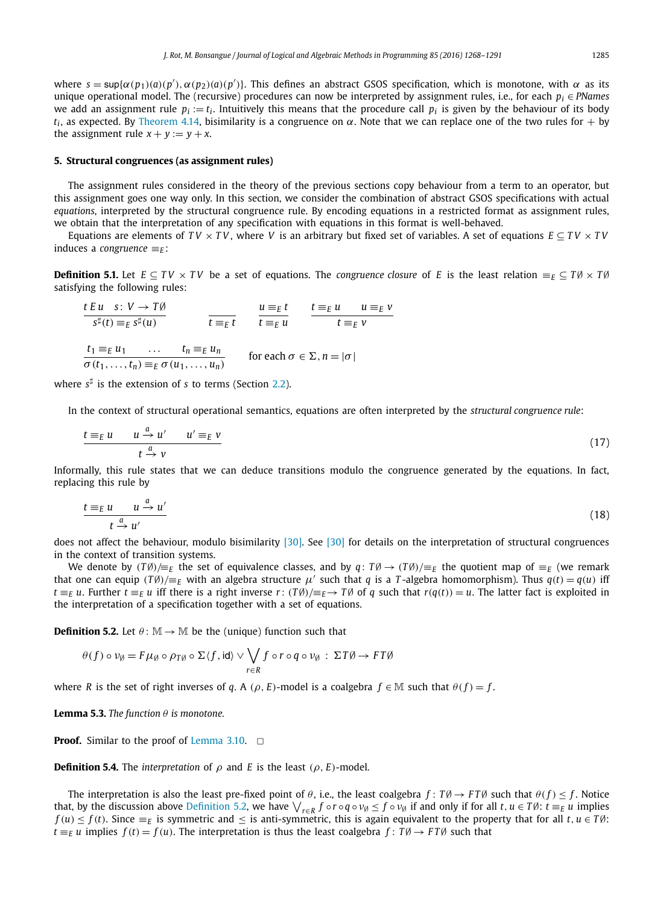<span id="page-17-0"></span>where  $s = \sup{\alpha(p_1)(a)(p'), \alpha(p_2)(a)(p')}$ . This defines an abstract GSOS specification, which is monotone, with  $\alpha$  as its unique operational model. The (recursive) procedures can now be interpreted by assignment rules, i.e., for each *pi* ∈ *PNames* we add an assignment rule  $p_i := t_i$ . Intuitively this means that the procedure call  $p_i$  is given by the behaviour of its body *ti* , as expected. By [Theorem 4.14,](#page-15-0) bisimilarity is a congruence on *α*. Note that we can replace one of the two rules for + by the assignment rule  $x + y := y + x$ .

#### **5. Structural congruences (as assignment rules)**

The assignment rules considered in the theory of the previous sections copy behaviour from a term to an operator, but this assignment goes one way only. In this section, we consider the combination of abstract GSOS specifications with actual *equations*, interpreted by the structural congruence rule. By encoding equations in a restricted format as assignment rules, we obtain that the interpretation of any specification with equations in this format is well-behaved.

Equations are elements of  $TV \times TV$ , where *V* is an arbitrary but fixed set of variables. A set of equations  $E \subseteq TV \times TV$ induces a *congruence* ≡*<sup>E</sup>* :

**Definition 5.1.** Let  $E \subseteq TV \times TV$  be a set of equations. The *congruence closure* of *E* is the least relation  $\equiv_E \subseteq T \emptyset \times T \emptyset$ satisfying the following rules:

$$
\frac{t E u s : V \to T \emptyset}{s^{\sharp}(t) \equiv_E s^{\sharp}(u)} \qquad \qquad \frac{u =_E t}{t =_E u} \qquad \frac{t =_E u u}{t =_E v}
$$
\n
$$
\frac{t_1 \equiv_E u_1 \quad \cdots \quad t_n \equiv_E u_n}{\sigma(t_1, \dots, t_n) \equiv_E \sigma(u_1, \dots, u_n)} \qquad \text{for each } \sigma \in \Sigma, n = |\sigma|
$$

where *s*  is the extension of *s* to terms (Section [2.2\)](#page-2-0).

In the context of structural operational semantics, equations are often interpreted by the *structural congruence rule*:

$$
\frac{t \equiv_E u \qquad u \xrightarrow{a} u' \qquad u' \equiv_E v}{t \xrightarrow{a} v} \tag{17}
$$

Informally, this rule states that we can deduce transitions modulo the congruence generated by the equations. In fact, replacing this rule by

$$
\frac{t}{t} \stackrel{d}{\rightarrow} u' \qquad \qquad (18)
$$

does not affect the behaviour, modulo bisimilarity [\[30\].](#page-23-0) See [\[30\]](#page-23-0) for details on the interpretation of structural congruences in the context of transition systems.

We denote by  $(T\emptyset) \equiv_E$  the set of equivalence classes, and by  $q: T\emptyset \to (T\emptyset)/\equiv_E$  the quotient map of  $\equiv_E$  (we remark that one can equip  $(T\emptyset)/\equiv_E$  with an algebra structure  $\mu'$  such that *q* is a *T*-algebra homomorphism). Thus  $q(t) = q(u)$  iff  $t \equiv_E u$ . Further  $t \equiv_E u$  iff there is a right inverse r:  $(T\emptyset)/\equiv_E \rightarrow T\emptyset$  of q such that  $r(q(t)) = u$ . The latter fact is exploited in the interpretation of a specification together with a set of equations.

**Definition 5.2.** Let  $\theta$ :  $\mathbb{M} \rightarrow \mathbb{M}$  be the (unique) function such that

$$
\theta(f) \circ \nu_{\emptyset} = F \mu_{\emptyset} \circ \rho_{T\emptyset} \circ \Sigma \langle f, \mathrm{id} \rangle \vee \bigvee_{r \in R} f \circ r \circ q \circ \nu_{\emptyset} : \Sigma T\emptyset \to FT\emptyset
$$

where *R* is the set of right inverses of *q*. A ( $\rho$ , *E*)-model is a coalgebra  $f \in M$  such that  $\theta(f) = f$ .

**Lemma 5.3.** *The function*  $\theta$  *is monotone.* 

**Proof.** Similar to the proof of [Lemma 3.10.](#page-9-0)  $\Box$ 

**Definition 5.4.** The *interpretation* of  $\rho$  and *E* is the least  $(\rho, E)$ -model.

The interpretation is also the least pre-fixed point of  $\theta$ , i.e., the least coalgebra  $f: T\emptyset \to F T\emptyset$  such that  $\theta(f) < f$ . Notice that, by the discussion above Definition 5.2, we have  $\bigvee_{r\in R}f\circ r\circ q\circ\nu_\emptyset\leq f\circ\nu_\emptyset$  if and only if for all  $t,u\in T\emptyset$ :  $t\equiv_Eu$  implies  $f(u) \leq f(t)$ . Since  $\equiv_E$  is symmetric and  $\leq$  is anti-symmetric, this is again equivalent to the property that for all *t*,  $u \in T\emptyset$ : *t* ≡*E u* implies  $f(t) = f(u)$ . The interpretation is thus the least coalgebra  $f: T \emptyset \rightarrow F T \emptyset$  such that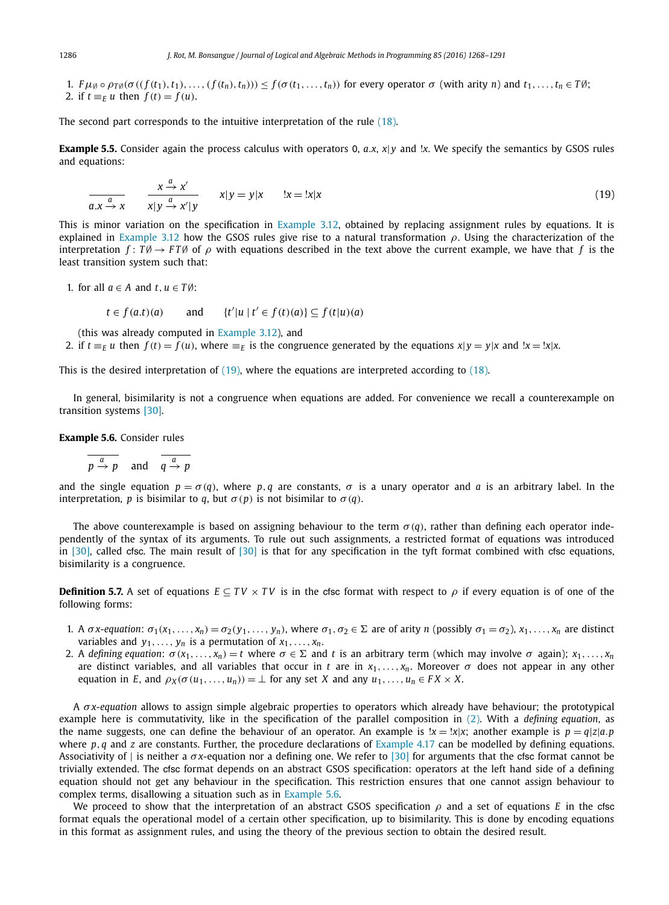1.  $F\mu_{\emptyset} \circ \rho_{T\emptyset}(\sigma((f(t_1), t_1), \ldots, (f(t_n), t_n))) \leq f(\sigma(t_1, \ldots, t_n))$  for every operator  $\sigma$  (with arity n) and  $t_1, \ldots, t_n \in T\emptyset$ ; 2. if  $t \equiv_E u$  then  $f(t) = f(u)$ .

The second part corresponds to the intuitive interpretation of the rule [\(18\).](#page-17-0)

**Example 5.5.** Consider again the process calculus with operators 0, *a.x*,  $x|y$  and !x. We specify the semantics by GSOS rules and equations:

$$
\frac{x \xrightarrow{a}}{a.x \xrightarrow{a} x} \frac{x \xrightarrow{a} x'}{x|y \xrightarrow{a} x'|y} \qquad x|y = y|x \qquad !x = !x|x \tag{19}
$$

This is minor variation on the specification in [Example 3.12,](#page-9-0) obtained by replacing assignment rules by equations. It is explained in [Example 3.12](#page-9-0) how the GSOS rules give rise to a natural transformation *ρ*. Using the characterization of the interpretation  $f: T \emptyset \to F T \emptyset$  of  $\rho$  with equations described in the text above the current example, we have that f is the least transition system such that:

- 1. for all  $a \in A$  and  $t, u \in T\emptyset$ :
	- $t \in f(a.t)(a)$  and  $f'(u | t' \in f(t)(a)) \subseteq f(t|u)(a)$

(this was already computed in [Example 3.12\)](#page-9-0), and

2. if  $t =_E u$  then  $f(t) = f(u)$ , where  $\equiv_E$  is the congruence generated by the equations  $x | y = y | x$  and  $x = \frac{1}{x} | x$ .

This is the desired interpretation of (19), where the equations are interpreted according to [\(18\).](#page-17-0)

In general, bisimilarity is not a congruence when equations are added. For convenience we recall a counterexample on transition systems [\[30\].](#page-23-0)

**Example 5.6.** Consider rules

$$
\overline{p \xrightarrow{a} p} \quad \text{and} \quad \overline{q \xrightarrow{a} p}
$$

and the single equation  $p = \sigma(q)$ , where p, q are constants,  $\sigma$  is a unary operator and *a* is an arbitrary label. In the interpretation, *p* is bisimilar to *q*, but  $\sigma(p)$  is not bisimilar to  $\sigma(q)$ .

The above counterexample is based on assigning behaviour to the term  $\sigma(q)$ , rather than defining each operator independently of the syntax of its arguments. To rule out such assignments, a restricted format of equations was introduced in  $[30]$ , called cfsc. The main result of  $[30]$  is that for any specification in the tyft format combined with cfsc equations, bisimilarity is a congruence.

**Definition 5.7.** A set of equations  $E \subseteq TV \times TV$  is in the cfsc format with respect to  $\rho$  if every equation is of one of the following forms:

- 1. A  $\sigma x$ -equation:  $\sigma_1(x_1,...,x_n) = \sigma_2(y_1,...,y_n)$ , where  $\sigma_1, \sigma_2 \in \Sigma$  are of arity n (possibly  $\sigma_1 = \sigma_2$ ),  $x_1,...,x_n$  are distinct variables and  $y_1, \ldots, y_n$  is a permutation of  $x_1, \ldots, x_n$ .
- 2. A *defining equation:*  $\sigma(x_1, \ldots, x_n) = t$  where  $\sigma \in \Sigma$  and t is an arbitrary term (which may involve  $\sigma$  again);  $x_1, \ldots, x_n$ are distinct variables, and all variables that occur in t are in  $x_1, \ldots, x_n$ . Moreover  $\sigma$  does not appear in any other equation in *E*, and  $\rho_X(\sigma(u_1, \ldots, u_n)) = \bot$  for any set *X* and any  $u_1, \ldots, u_n \in FX \times X$ .

A *σ x-equation* allows to assign simple algebraic properties to operators which already have behaviour; the prototypical example here is commutativity, like in the specification of the parallel composition in [\(2\).](#page-1-0) With a *defining equation*, as the name suggests, one can define the behaviour of an operator. An example is  $1x = 1x|x$ ; another example is  $p = q|z|a$ . where  $p$ ,  $q$  and  $z$  are constants. Further, the procedure declarations of [Example 4.17](#page-16-0) can be modelled by defining equations. Associativity of | is neither a *σ x*-equation nor a defining one. We refer to [\[30\]](#page-23-0) for arguments that the cfsc format cannot be trivially extended. The cfsc format depends on an abstract GSOS specification: operators at the left hand side of a defining equation should not get any behaviour in the specification. This restriction ensures that one cannot assign behaviour to complex terms, disallowing a situation such as in Example 5.6.

We proceed to show that the interpretation of an abstract GSOS specification *ρ* and a set of equations *E* in the cfsc format equals the operational model of a certain other specification, up to bisimilarity. This is done by encoding equations in this format as assignment rules, and using the theory of the previous section to obtain the desired result.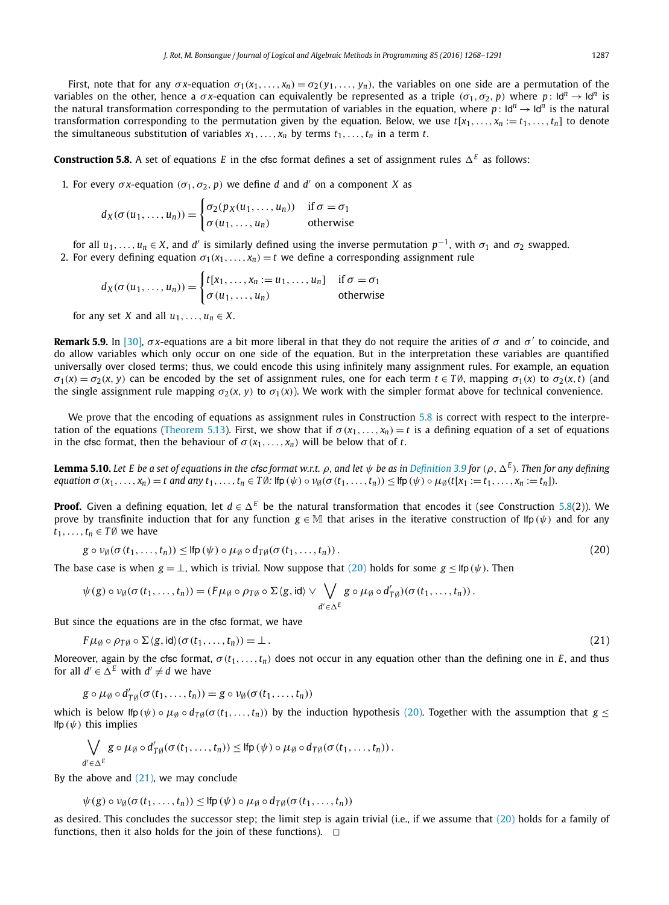<span id="page-19-0"></span>First, note that for any  $\sigma x$ -equation  $\sigma_1(x_1, \ldots, x_n) = \sigma_2(y_1, \ldots, y_n)$ , the variables on one side are a permutation of the variables on the other, hence a  $\sigma x$ -equation can equivalently be represented as a triple  $(\sigma_1, \sigma_2, p)$  where  $p: \text{Id}^n \to \text{Id}^n$  is the natural transformation corresponding to the permutation of variables in the equation, where  $p: \text{Id}^n \to \text{Id}^n$  is the natural transformation corresponding to the permutation given by the equation. Below, we use  $t[x_1, \ldots, x_n := t_1, \ldots, t_n]$  to denote the simultaneous substitution of variables  $x_1, \ldots, x_n$  by terms  $t_1, \ldots, t_n$  in a term  $t$ .

**Construction 5.8.** A set of equations *E* in the cfsc format defines a set of assignment rules  $\Delta^E$  as follows:

1. For every  $\sigma x$ -equation  $(\sigma_1, \sigma_2, p)$  we define *d* and *d'* on a component *X* as

$$
d_X(\sigma(u_1,\ldots,u_n)) = \begin{cases} \sigma_2(p_X(u_1,\ldots,u_n)) & \text{if } \sigma = \sigma_1 \\ \sigma(u_1,\ldots,u_n) & \text{otherwise} \end{cases}
$$

for all  $u_1, \ldots, u_n \in X$ , and *d'* is similarly defined using the inverse permutation  $p^{-1}$ , with  $\sigma_1$  and  $\sigma_2$  swapped. 2. For every defining equation  $\sigma_1(x_1, \ldots, x_n) = t$  we define a corresponding assignment rule

$$
d_X(\sigma(u_1,\ldots,u_n)) = \begin{cases} t[x_1,\ldots,x_n := u_1,\ldots,u_n] & \text{if } \sigma = \sigma_1 \\ \sigma(u_1,\ldots,u_n) & \text{otherwise} \end{cases}
$$

for any set *X* and all  $u_1, \ldots, u_n \in X$ .

**Remark 5.9.** In [\[30\],](#page-23-0) *σ x*-equations are a bit more liberal in that they do not require the arities of *σ* and *σ* to coincide, and do allow variables which only occur on one side of the equation. But in the interpretation these variables are quantified universally over closed terms; thus, we could encode this using infinitely many assignment rules. For example, an equation  $\sigma_1(x) = \sigma_2(x, y)$  can be encoded by the set of assignment rules, one for each term  $t \in T\emptyset$ , mapping  $\sigma_1(x)$  to  $\sigma_2(x, t)$  (and the single assignment rule mapping  $σ_2(x, y)$  to  $σ_1(x)$ ). We work with the simpler format above for technical convenience.

We prove that the encoding of equations as assignment rules in Construction 5.8 is correct with respect to the interpre-tation of the equations [\(Theorem 5.13\)](#page-21-0). First, we show that if  $σ(x_1,...,x_n) = t$  is a defining equation of a set of equations in the cfsc format, then the behaviour of  $\sigma(x_1, \ldots, x_n)$  will be below that of *t*.

**Lemma 5.10.** Let E be a set of equations in the cfsc format w.r.t.  $\rho$ , and let  $\psi$  be as in [Definition 3.9](#page-8-0) for  $(\rho, \Delta^E)$ . Then for any defining equation  $\sigma(x_1,\ldots,x_n) = t$  and any  $t_1,\ldots,t_n \in T\emptyset$ : If  $p(\psi) \circ \nu_{\emptyset}(\sigma(t_1,\ldots,t_n)) \leq$  If  $p(\psi) \circ \mu_{\emptyset}(t[x_1 := t_1,\ldots,x_n := t_n])$ .

**Proof.** Given a defining equation, let  $d \in \Delta^E$  be the natural transformation that encodes it (see Construction 5.8(2)). We prove by transfinite induction that for any function  $g \in \mathbb{M}$  that arises in the iterative construction of lfp  $(\psi)$  and for any  $t_1, \ldots, t_n \in T\emptyset$  we have

$$
g \circ \nu_{\emptyset}(\sigma(t_1, \ldots, t_n)) \leq \text{If } \rho(\psi) \circ \mu_{\emptyset} \circ d_{T\emptyset}(\sigma(t_1, \ldots, t_n)). \tag{20}
$$

The base case is when  $g = \perp$ , which is trivial. Now suppose that (20) holds for some  $g <$  lfp  $(\psi)$ . Then

$$
\psi(g) \circ \nu_{\emptyset}(\sigma(t_1,\ldots,t_n)) = (F\mu_{\emptyset} \circ \rho_{T\emptyset} \circ \Sigma \langle g, id \rangle \vee \bigvee_{d' \in \Delta^E} g \circ \mu_{\emptyset} \circ d'_{T\emptyset})(\sigma(t_1,\ldots,t_n)).
$$

But since the equations are in the cfsc format, we have

$$
F\mu_{\emptyset} \circ \rho_{T\emptyset} \circ \Sigma \langle g, \text{id} \rangle (\sigma(t_1, \dots, t_n)) = \bot.
$$
\n(21)

Moreover, again by the cfsc format,  $\sigma(t_1,\ldots,t_n)$  does not occur in any equation other than the defining one in *E*, and thus for all  $d' \in \Delta^E$  with  $d' \neq d$  we have

$$
g\circ \mu_{\emptyset}\circ d'_{T\emptyset}(\sigma(t_1,\ldots,t_n))=g\circ \nu_{\emptyset}(\sigma(t_1,\ldots,t_n))
$$

which is below lfp  $(\psi) \circ \mu_{\emptyset} \circ d_{T\emptyset}(\sigma(t_1,\ldots,t_n))$  by the induction hypothesis (20). Together with the assumption that  $g \leq$ lfp *(ψ)* this implies

$$
\bigvee_{d' \in \Delta^E} g \circ \mu_{\emptyset} \circ d'_{T\emptyset}(\sigma(t_1,\ldots,t_n)) \leq \text{lfp}(\psi) \circ \mu_{\emptyset} \circ d_{T\emptyset}(\sigma(t_1,\ldots,t_n)).
$$

By the above and  $(21)$ , we may conclude

$$
\psi(g) \circ \nu_{\emptyset}(\sigma(t_1,\ldots,t_n)) \leq \text{If } \rho(\psi) \circ \mu_{\emptyset} \circ d_{T\emptyset}(\sigma(t_1,\ldots,t_n))
$$

as desired. This concludes the successor step; the limit step is again trivial (i.e., if we assume that  $(20)$  holds for a family of functions, then it also holds for the join of these functions).  $\Box$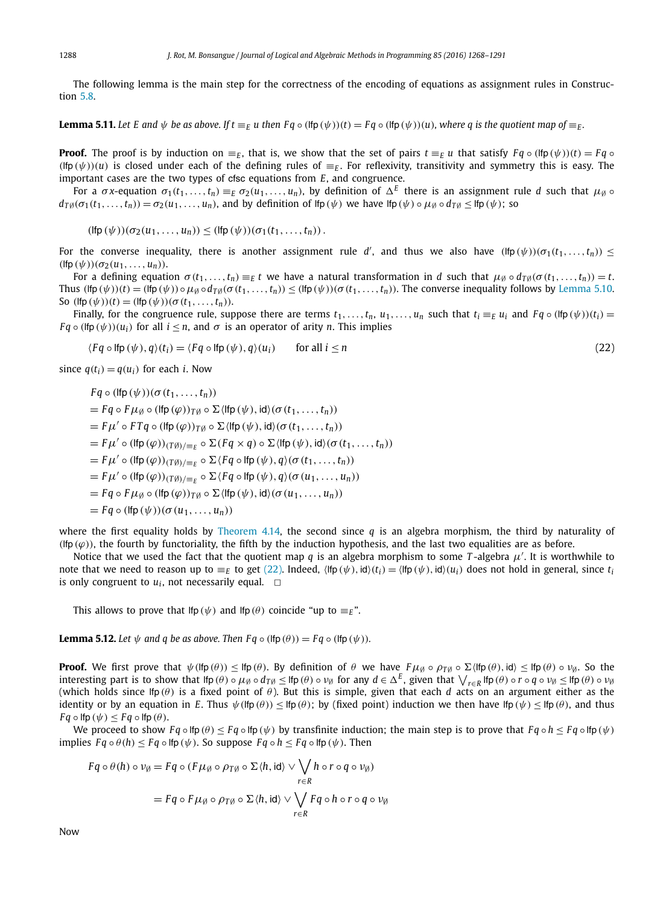<span id="page-20-0"></span>The following lemma is the main step for the correctness of the encoding of equations as assignment rules in Construction [5.8.](#page-19-0)

**Lemma 5.11.** Let E and  $\psi$  be as above. If  $t \equiv_E u$  then  $Fq \circ (lfp(\psi))(t) = Fq \circ (lfp(\psi))(u)$ , where q is the quotient map of  $\equiv_E$ .

**Proof.** The proof is by induction on  $\equiv$ *F*, that is, we show that the set of pairs  $t \equiv$ *F u* that satisfy  $F \circ g \circ (f \circ (w))(t) = F \circ g \circ f$  $(\text{If } p(\psi))(u)$  is closed under each of the defining rules of  $\equiv_E$ . For reflexivity, transitivity and symmetry this is easy. The important cases are the two types of cfsc equations from *E*, and congruence.

For a  $\sigma x$ -equation  $\sigma_1(t_1,\ldots,t_n) \equiv_E \sigma_2(u_1,\ldots,u_n)$ , by definition of  $\Delta^E$  there is an assignment rule d such that  $\mu_{\emptyset} \circ$  $d_{T\emptyset}(\sigma_1(t_1,\ldots,t_n)) = \sigma_2(u_1,\ldots,u_n)$ , and by definition of lip  $(\psi)$  we have lip  $(\psi) \circ \mu_{\emptyset} \circ d_{T\emptyset} <$  lip  $(\psi)$ ; so

 $(\text{Ifp } (\psi))(\sigma_2(u_1, \ldots, u_n)) \leq (\text{Ifp } (\psi))(\sigma_1(t_1, \ldots, t_n)).$ 

For the converse inequality, there is another assignment rule  $d'$ , and thus we also have  $(\text{Ifp }(\psi))(\sigma_1(t_1,\ldots,t_n)) \leq d$  $(lfp(\psi))(\sigma_2(u_1,...,u_n)).$ 

For a defining equation  $\sigma(t_1,\ldots,t_n) \equiv_E t$  we have a natural transformation in d such that  $\mu_{\emptyset} \circ d_{T\emptyset}(\sigma(t_1,\ldots,t_n)) = t$ . Thus  $(\text{Ifp }(\psi))(t) = (\text{Ifp }(\psi)) \circ \mu_{\emptyset} \circ d_{T\emptyset}(\sigma(t_1, \ldots, t_n)) < (\text{Ifp }(\psi))(\sigma(t_1, \ldots, t_n)).$  The converse inequality follows by [Lemma 5.10.](#page-19-0) So  $(\text{Ifp }(\psi))(t) = (\text{Ifp }(\psi))(\sigma(t_1,\ldots,t_n)).$ 

Finally, for the congruence rule, suppose there are terms  $t_1, \ldots, t_n, u_1, \ldots, u_n$  such that  $t_i \equiv_E u_i$  and  $F \cdot q \circ (\text{If } p(\psi))(t_i) =$ *Fq*  $\circ$  (*lfp* $(\psi)(u_i)$  for all  $i \leq n$ , and  $\sigma$  is an operator of arity *n*. This implies

$$
\langle Fq \circ \mathsf{lfp}(\psi), q \rangle(t_i) = \langle Fq \circ \mathsf{lfp}(\psi), q \rangle(u_i) \qquad \text{for all } i \le n \tag{22}
$$

since  $q(t_i) = q(u_i)$  for each *i*. Now

 $F q \circ (\text{Ifp } (\psi))(\sigma(t_1, \ldots, t_n))$  $=$  *Fg*  $\circ$  *F* $\mu$ <sup> $\alpha$   $\circ$  (lfp  $(\varphi)$ ) $\tau$  $\alpha$   $\circ$   $\Sigma$  (lfp  $(\psi)$ , id) $(\sigma$  ( $t_1, \ldots, t_n)$ )</sup>  $= F\mu' \circ FTq \circ (lfp(\varphi))_{T\emptyset} \circ \Sigma \langle lfp(\psi), id \rangle (\sigma(t_1, \ldots, t_n))$  $= F\mu' \circ (\text{Ifp }(\varphi))_{(T\emptyset)/\equiv E} \circ \Sigma(Fq \times q) \circ \Sigma(\text{Ifp }(\psi), \text{ id})(\sigma(t_1, \ldots, t_n))$  $= F\mu' \circ (\text{Ifp }(\varphi))_{(T\emptyset)/\equiv F} \circ \Sigma \langle Fq \circ \text{Ifp }(\psi), q \rangle (\sigma(t_1, \ldots, t_n))$  $= F\mu' \circ (\text{Ifp }(\varphi))_{(T\emptyset)/\equiv_F} \circ \Sigma \langle Fq \circ \text{Ifp }(\psi), q \rangle (\sigma(u_1, \ldots, u_n))$  $= F q \circ F \mu_{\emptyset} \circ (\text{Ifp } (\varphi))_{T\emptyset} \circ \Sigma \langle \text{Ifp } (\psi), \text{id} \rangle (\sigma(u_1, \ldots, u_n))$  $= F q \circ ($ **lfp** $(\psi)(\sigma(u_1, \ldots, u_n))$ 

where the first equality holds by [Theorem 4.14,](#page-15-0) the second since  $q$  is an algebra morphism, the third by naturality of *(*lfp *(ϕ))*, the fourth by functoriality, the fifth by the induction hypothesis, and the last two equalities are as before.

Notice that we used the fact that the quotient map *q* is an algebra morphism to some *T* -algebra *μ* . It is worthwhile to note that we need to reason up to  $\equiv$ *F* to get (22). Indeed,  $\langle$ lfp  $(\psi)$ , id $\rangle$ ( $t_i$ ) =  $\langle$ lfp  $(\psi)$ , id $\rangle$ ( $u_i$ ) does not hold in general, since  $t_i$ is only congruent to  $u_i$ , not necessarily equal.  $\Box$ 

This allows to prove that lfp  $(\psi)$  and lfp  $(\theta)$  coincide "up to  $\equiv_E$ ".

**Lemma 5.12.** Let  $\psi$  and  $q$  be as above. Then  $Fq \circ (lfp(\theta)) = Fq \circ (lfp(\psi))$ .

**Proof.** We first prove that  $\psi(\text{Ifp }(\theta)) \leq \text{Ifp }(\theta)$ . By definition of  $\theta$  we have  $F\mu_{\theta} \circ \rho_{T\theta} \circ \Sigma(\text{Ifp }(\theta), \text{id}) \leq \text{Ifp }(\theta) \circ \nu_{\theta}$ . So the interesting part is to show that Ifp  $(\theta)\circ\mu_\emptyset\circ d_{T\emptyset}\leq$  Ifp  $(\theta)\circ\nu_\emptyset$  for any  $d\in\Delta^E$ , given that  $\bigvee_{r\in R}\mathsf{lfp}\left(\theta\right)\circ r\circ q\circ\nu_\emptyset\leq$  Ifp  $(\theta)\circ\nu_\emptyset$ (which holds since lfp *(θ)* is a fixed point of *θ* ). But this is simple, given that each *d* acts on an argument either as the identity or by an equation in *E*. Thus  $\psi(\text{Ifp }(\theta)) \leq \text{Ifp }(\theta)$ ; by (fixed point) induction we then have lfp  $(\psi) \leq \text{Ifp }(\theta)$ , and thus  $F q \circ \text{Ifp } (\psi) \leq F q \circ \text{Ifp } (\theta).$ 

We proceed to show  $Fq \circ \text{lfp}(\theta) \leq Fq \circ \text{lfp}(\psi)$  by transfinite induction; the main step is to prove that  $Fq \circ h \leq Fq \circ \text{lfp}(\psi)$ implies  $F q \circ \theta(h) \leq F q \circ \text{lfp}(\psi)$ . So suppose  $F q \circ h \leq F q \circ \text{lfp}(\psi)$ . Then

$$
Fq \circ \theta(h) \circ \nu_{\emptyset} = Fq \circ (F\mu_{\emptyset} \circ \rho_{T\emptyset} \circ \Sigma \langle h, \text{id} \rangle \vee \bigvee_{r \in R} h \circ r \circ q \circ \nu_{\emptyset})
$$
  
=  $Fq \circ F\mu_{\emptyset} \circ \rho_{T\emptyset} \circ \Sigma \langle h, \text{id} \rangle \vee \bigvee_{r \in R} Fq \circ h \circ r \circ q \circ \nu_{\emptyset}$ 

Now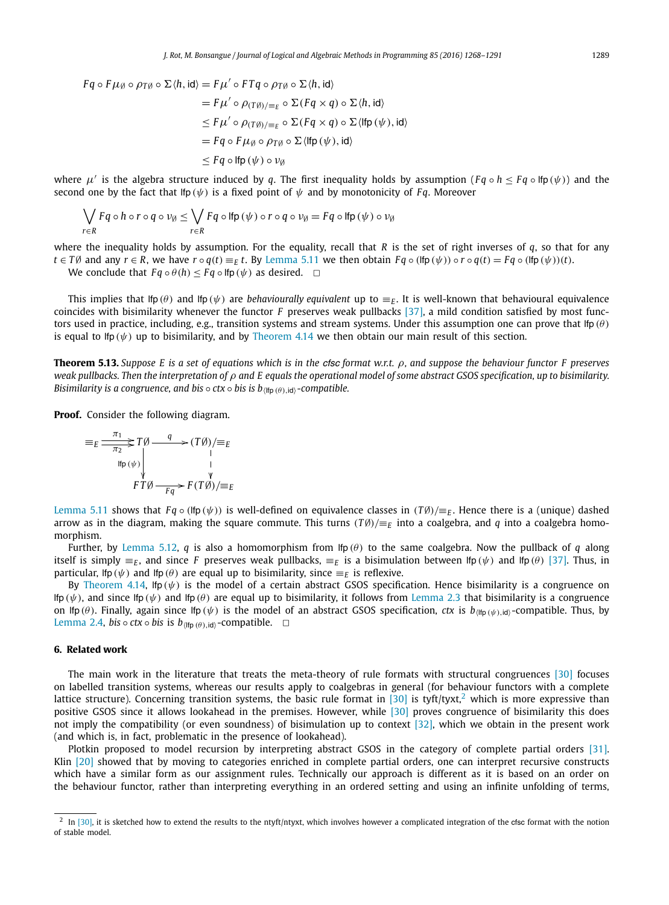<span id="page-21-0"></span>
$$
Fq \circ F\mu_{\emptyset} \circ \rho_{T\emptyset} \circ \Sigma \langle h, id \rangle = F\mu' \circ FTq \circ \rho_{T\emptyset} \circ \Sigma \langle h, id \rangle
$$
  
\n
$$
= F\mu' \circ \rho_{(T\emptyset)/\equiv_E} \circ \Sigma (Fq \times q) \circ \Sigma \langle h, id \rangle
$$
  
\n
$$
\leq F\mu' \circ \rho_{(T\emptyset)/\equiv_E} \circ \Sigma (Fq \times q) \circ \Sigma \langle \text{Ifp } (\psi), id \rangle
$$
  
\n
$$
= Fq \circ F\mu_{\emptyset} \circ \rho_{T\emptyset} \circ \Sigma \langle \text{Ifp } (\psi), id \rangle
$$
  
\n
$$
\leq Fq \circ \text{Ifp } (\psi) \circ \nu_{\emptyset}
$$

where  $\mu'$  is the algebra structure induced by *q*. The first inequality holds by assumption ( $Fq \circ h \lt Fq \circ \text{lfp}(\psi)$ ) and the second one by the fact that lfp  $(\psi)$  is a fixed point of  $\psi$  and by monotonicity of *Fq*. Moreover

$$
\bigvee_{r \in R} Fq \circ h \circ r \circ q \circ \nu_{\emptyset} \leq \bigvee_{r \in R} Fq \circ \mathsf{lfp}(\psi) \circ r \circ q \circ \nu_{\emptyset} = Fq \circ \mathsf{lfp}(\psi) \circ \nu_{\emptyset}
$$

where the inequality holds by assumption. For the equality, recall that *R* is the set of right inverses of *q*, so that for any  $t \in T\emptyset$  and any  $r \in R$ , we have  $r \circ q(t) = t$ . By [Lemma 5.11](#page-20-0) we then obtain  $Fq \circ (lfp(\psi)) \circ r \circ q(t) = Fq \circ (lfp(\psi))(t)$ .

We conclude that  $F q \circ \theta(h) \leq F q \circ \text{Ifp } (\psi)$  as desired.  $\Box$ 

This implies that lfp  $(\theta)$  and lfp  $(\psi)$  are *behaviourally equivalent* up to  $\equiv$ <sub>E</sub>. It is well-known that behavioural equivalence coincides with bisimilarity whenever the functor *F* preserves weak pullbacks [\[37\],](#page-23-0) a mild condition satisfied by most functors used in practice, including, e.g., transition systems and stream systems. Under this assumption one can prove that lfp *(θ)* is equal to lfp  $(\psi)$  up to bisimilarity, and by [Theorem 4.14](#page-15-0) we then obtain our main result of this section.

**Theorem 5.13.** Suppose E is a set of equations which is in the cfsc format w.r.t.  $\rho$ , and suppose the behaviour functor F preserves weak pullbacks. Then the interpretation of  $\rho$  and E equals the operational model of some abstract GSOS specification, up to bisimilarity. *Bisimilarity is a congruence, and bis*  $\circ$  *ctx*  $\circ$  *bis is b*<sub>(lfp  $(\theta)$ ,  $\mathbf{id}$ *) -compatible.*</sub>

**Proof.** Consider the following diagram.

$$
\equiv_E \frac{\pi_1}{\pi_2} \sum_{\text{Ifp } (\psi)} T \emptyset \xrightarrow{\quad q \quad} (T \emptyset) / \equiv_E
$$
\n
$$
\downarrow \qquad \qquad \downarrow \qquad \qquad \downarrow
$$
\n
$$
FT \emptyset \xrightarrow{\quad q \quad} F(T \emptyset) / \equiv_E
$$

[Lemma 5.11](#page-20-0) shows that  $Fq \circ (Ifp(\psi))$  is well-defined on equivalence classes in  $(T\emptyset)/\equiv_F$ . Hence there is a (unique) dashed arrow as in the diagram, making the square commute. This turns *(T* ∅*)/*≡*<sup>E</sup>* into a coalgebra, and *q* into a coalgebra homomorphism.

Further, by [Lemma 5.12,](#page-20-0) *q* is also a homomorphism from lfp *(θ)* to the same coalgebra. Now the pullback of *q* along itself is simply  $\equiv$ *<sub>E</sub>*, and since *F* preserves weak pullbacks,  $\equiv$ *<sub>E</sub>* is a bisimulation between lfp  $(\psi)$  and lfp  $(\theta)$  [\[37\].](#page-23-0) Thus, in particular, lfp  $(\psi)$  and lfp  $(\theta)$  are equal up to bisimilarity, since  $\equiv$ *E* is reflexive.

By [Theorem 4.14,](#page-15-0) lfp *(ψ)* is the model of a certain abstract GSOS specification. Hence bisimilarity is a congruence on lfp *(ψ)*, and since lfp *(ψ)* and lfp *(θ)* are equal up to bisimilarity, it follows from [Lemma 2.3](#page-4-0) that bisimilarity is a congruence on lfp  $(\theta)$ . Finally, again since lfp  $(\psi)$  is the model of an abstract GSOS specification, *ctx* is  $b_{(\text{lfo }(\psi),\text{id})}$ -compatible. Thus, by [Lemma 2.4,](#page-4-0) *bis*  $\circ$  *ctx*  $\circ$  *bis* is *b*<sub>(lfp  $(\theta)$ , id) -compatible.  $\Box$ </sub>

#### **6. Related work**

The main work in the literature that treats the meta-theory of rule formats with structural congruences [\[30\]](#page-23-0) focuses on labelled transition systems, whereas our results apply to coalgebras in general (for behaviour functors with a complete lattice structure). Concerning transition systems, the basic rule format in [\[30\]](#page-23-0) is tyft/tyxt,<sup>2</sup> which is more expressive than positive GSOS since it allows lookahead in the premises. However, while [\[30\]](#page-23-0) proves congruence of bisimilarity this does not imply the compatibility (or even soundness) of bisimulation up to context [\[32\],](#page-23-0) which we obtain in the present work (and which is, in fact, problematic in the presence of lookahead).

Plotkin proposed to model recursion by interpreting abstract GSOS in the category of complete partial orders [\[31\].](#page-23-0) Klin [\[20\]](#page-23-0) showed that by moving to categories enriched in complete partial orders, one can interpret recursive constructs which have a similar form as our assignment rules. Technically our approach is different as it is based on an order on the behaviour functor, rather than interpreting everything in an ordered setting and using an infinite unfolding of terms,

 $2 \ln [30]$ , it is sketched how to extend the results to the ntyft/ntyxt, which involves however a complicated integration of the cfsc format with the notion of stable model.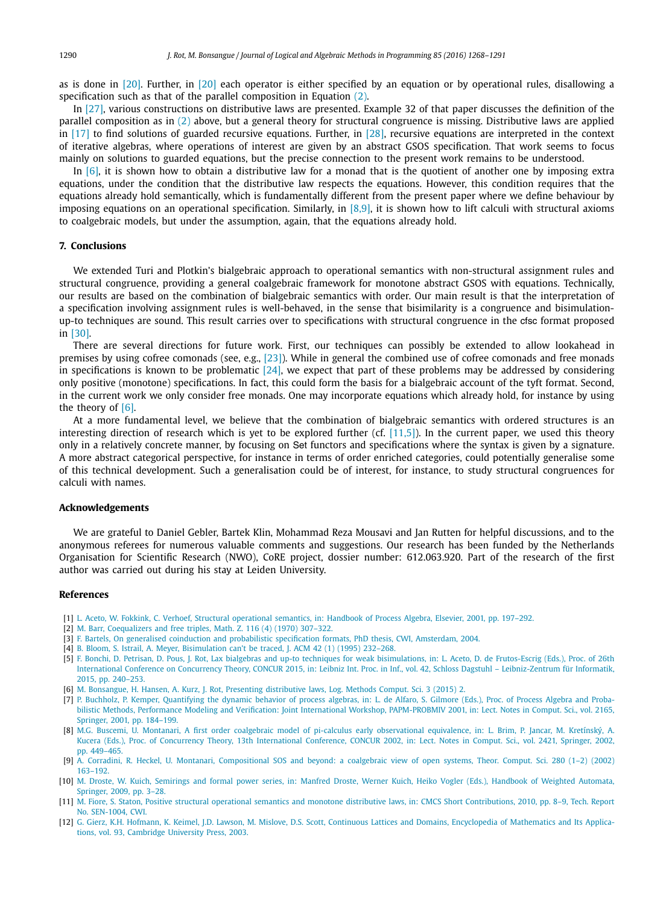<span id="page-22-0"></span>as is done in [\[20\].](#page-23-0) Further, in [\[20\]](#page-23-0) each operator is either specified by an equation or by operational rules, disallowing a specification such as that of the parallel composition in Equation [\(2\).](#page-1-0)

In [\[27\],](#page-23-0) various constructions on distributive laws are presented. Example 32 of that paper discusses the definition of the parallel composition as in [\(2\)](#page-1-0) above, but a general theory for structural congruence is missing. Distributive laws are applied in [\[17\]](#page-23-0) to find solutions of guarded recursive equations. Further, in [\[28\],](#page-23-0) recursive equations are interpreted in the context of iterative algebras, where operations of interest are given by an abstract GSOS specification. That work seems to focus mainly on solutions to guarded equations, but the precise connection to the present work remains to be understood.

In [6], it is shown how to obtain a distributive law for a monad that is the quotient of another one by imposing extra equations, under the condition that the distributive law respects the equations. However, this condition requires that the equations already hold semantically, which is fundamentally different from the present paper where we define behaviour by imposing equations on an operational specification. Similarly, in [8,9], it is shown how to lift calculi with structural axioms to coalgebraic models, but under the assumption, again, that the equations already hold.

#### **7. Conclusions**

We extended Turi and Plotkin's bialgebraic approach to operational semantics with non-structural assignment rules and structural congruence, providing a general coalgebraic framework for monotone abstract GSOS with equations. Technically, our results are based on the combination of bialgebraic semantics with order. Our main result is that the interpretation of a specification involving assignment rules is well-behaved, in the sense that bisimilarity is a congruence and bisimulationup-to techniques are sound. This result carries over to specifications with structural congruence in the cfsc format proposed in [\[30\].](#page-23-0)

There are several directions for future work. First, our techniques can possibly be extended to allow lookahead in premises by using cofree comonads (see, e.g., [\[23\]\)](#page-23-0). While in general the combined use of cofree comonads and free monads in specifications is known to be problematic [\[24\],](#page-23-0) we expect that part of these problems may be addressed by considering only positive (monotone) specifications. In fact, this could form the basis for a bialgebraic account of the tyft format. Second, in the current work we only consider free monads. One may incorporate equations which already hold, for instance by using the theory of [6].

At a more fundamental level, we believe that the combination of bialgebraic semantics with ordered structures is an interesting direction of research which is yet to be explored further (cf. [11,5]). In the current paper, we used this theory only in a relatively concrete manner, by focusing on Set functors and specifications where the syntax is given by a signature. A more abstract categorical perspective, for instance in terms of order enriched categories, could potentially generalise some of this technical development. Such a generalisation could be of interest, for instance, to study structural congruences for calculi with names.

#### **Acknowledgements**

We are grateful to Daniel Gebler, Bartek Klin, Mohammad Reza Mousavi and Jan Rutten for helpful discussions, and to the anonymous referees for numerous valuable comments and suggestions. Our research has been funded by the Netherlands Organisation for Scientific Research (NWO), CoRE project, dossier number: 612.063.920. Part of the research of the first author was carried out during his stay at Leiden University.

#### **References**

- [1] L. Aceto, W. Fokkink, C. Verhoef, Structural operational semantics, in: Handbook of Process Algebra, Elsevier, 2001, [pp. 197–292.](http://refhub.elsevier.com/S2352-2208(16)30076-1/bib414656s1)
- [2] M. Barr, [Coequalizers](http://refhub.elsevier.com/S2352-2208(16)30076-1/bib6261727231393730636F657175616C697A657273s1) and free triples, Math. Z. 116 (4) (1970) 307–322.
- [3] F. Bartels, On generalised coinduction and probabilistic [specification](http://refhub.elsevier.com/S2352-2208(16)30076-1/bib42617274656C733034s1) formats, PhD thesis, CWI, Amsterdam, 2004.
- [4] B. Bloom, S. Istrail, A. Meyer, [Bisimulation](http://refhub.elsevier.com/S2352-2208(16)30076-1/bib426C6F6F6D494D3935s1) can't be traced, J. ACM 42 (1) (1995) 232–268.
- [5] F. Bonchi, D. Petrisan, D. Pous, J. Rot, Lax bialgebras and up-to techniques for weak [bisimulations,](http://refhub.elsevier.com/S2352-2208(16)30076-1/bib426F6E6368695050523135s1) in: L. Aceto, D. de Frutos-Escrig (Eds.), Proc. of 26th International Conference on Concurrency Theory, CONCUR 2015, in: Leibniz Int. Proc. in Inf., vol. 42, Schloss Dagstuhl – [Leibniz-Zentrum](http://refhub.elsevier.com/S2352-2208(16)30076-1/bib426F6E6368695050523135s1) für Informatik, 2015, [pp. 240–253.](http://refhub.elsevier.com/S2352-2208(16)30076-1/bib426F6E6368695050523135s1)
- [6] M. Bonsangue, H. Hansen, A. Kurz, J. Rot, Presenting [distributive](http://refhub.elsevier.com/S2352-2208(16)30076-1/bib71756F742D657874656E646564s1) laws, Log. Methods Comput. Sci. 3 (2015) 2.
- [7] P. Buchholz, P. Kemper, [Quantifying](http://refhub.elsevier.com/S2352-2208(16)30076-1/bib6765726D616E31s1) the dynamic behavior of process algebras, in: L. de Alfaro, S. Gilmore (Eds.), Proc. of Process Algebra and Proba-bilistic Methods, Performance Modeling and Verification: Joint International Workshop, [PAPM-PROBMIV](http://refhub.elsevier.com/S2352-2208(16)30076-1/bib6765726D616E31s1) 2001, in: Lect. Notes in Comput. Sci., vol. 2165, Springer, 2001, [pp. 184–199.](http://refhub.elsevier.com/S2352-2208(16)30076-1/bib6765726D616E31s1)
- [8] M.G. Buscemi, U. Montanari, A first order coalgebraic model of pi-calculus early [observational](http://refhub.elsevier.com/S2352-2208(16)30076-1/bib424D3032s1) equivalence, in: L. Brim, P. Jancar, M. Kretínský, A. Kucera (Eds.), Proc. of Concurrency Theory, 13th [International](http://refhub.elsevier.com/S2352-2208(16)30076-1/bib424D3032s1) Conference, CONCUR 2002, in: Lect. Notes in Comput. Sci., vol. 2421, Springer, 2002, [pp. 449–465.](http://refhub.elsevier.com/S2352-2208(16)30076-1/bib424D3032s1)
- [9] A. Corradini, R. Heckel, U. Montanari, [Compositional](http://refhub.elsevier.com/S2352-2208(16)30076-1/bib43484D3032s1) SOS and beyond: a coalgebraic view of open systems, Theor. Comput. Sci. 280 (1–2) (2002) [163–192.](http://refhub.elsevier.com/S2352-2208(16)30076-1/bib43484D3032s1)
- [10] M. Droste, W. Kuich, Semirings and formal power series, in: Manfred Droste, Werner Kuich, Heiko Vogler (Eds.), [Handbook](http://refhub.elsevier.com/S2352-2208(16)30076-1/bib64726F7374653230303973656D6972696E6773s1) of Weighted Automata, Springer, 2009, [pp. 3–28.](http://refhub.elsevier.com/S2352-2208(16)30076-1/bib64726F7374653230303973656D6972696E6773s1)
- [11] M. Fiore, S. Staton, Positive structural operational semantics and monotone distributive laws, in: CMCS Short [Contributions,](http://refhub.elsevier.com/S2352-2208(16)30076-1/bib4D533130s1) 2010, pp. 8–9, Tech. Report No. [SEN-1004,](http://refhub.elsevier.com/S2352-2208(16)30076-1/bib4D533130s1) CWI.
- [12] G. Gierz, K.H. Hofmann, K. Keimel, J.D. Lawson, M. Mislove, D.S. Scott, Continuous Lattices and Domains, [Encyclopedia](http://refhub.elsevier.com/S2352-2208(16)30076-1/bib47484B4C4D4B3033s1) of Mathematics and Its Applications, vol. 93, [Cambridge](http://refhub.elsevier.com/S2352-2208(16)30076-1/bib47484B4C4D4B3033s1) University Press, 2003.